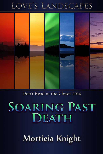## LOVE'S LANDSCAPES



Don't Read in the Closet 2014

# **SOARING PAST** DEATH

Morticia Knight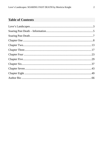#### **Table of Contents**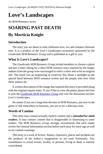## <span id="page-2-0"></span>**Love's Landscapes**

*An M/M Romance series*

## **SOARING PAST DEATH By Morticia Knight**

#### **Introduction**

The story you are about to read celebrates love, sex and romance between men. It is a product of the *Love's Landscapes* promotion sponsored by the *Goodreads M/M Romance Group* and is published as a gift to you.

#### **What Is Love's Landscapes?**

The *Goodreads M/M Romance Group* invited members to choose a photo and pen a letter asking for a short M/M romance story inspired by the image; authors from the group were encouraged to select a letter and write an original tale. The result was an outpouring of creativity that shone a spotlight on the special bond between M/M romance writers and the people who love what these authors do.

A written description of the image that inspired this story is provided along with the original request letter. If you'd like to view the photo, please feel free to join the [Goodreads M/M Romance Group](http://www.goodreads.com/group/show/20149-m-m-romance) and visit the discussion section: *Love's Landscapes*.

No matter if you are a long-time devotee to M/M Romance, just new to the genre or fall somewhere in between, you are in for a delicious treat.

#### **Words of Caution**

This story may contain sexually explicit content and is **intended for adult readers.** It may contain content that is disagreeable or distressing to some readers. The *M/M Romance Group* strongly recommends that each reader review the General Information section before each story for story tags as well as for content warnings.

This story is a work of fiction. Names, characters, places and incidents are the products of the author's imagination or are used fictitiously. Any resemblance to actual events, locales, or persons, living or dead, is entirely coincidental.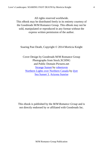All rights reserved worldwide.

This eBook may be distributed freely in its entirety courtesy of the Goodreads M/M Romance Group. This eBook may not be sold, manipulated or reproduced in any format without the express written permission of the author.

Soaring Past Death, Copyright © 2014 Morticia Knight

Cover Design by Goodreads M/M Romance Group Photographs from Stock.XCHNG and Public Domain Pictures.net [Strange Sunset](http://www.sxc.hu/photo/1429479) by [robertovm](http://www.sxc.hu/gallery/robertovm) [Northern Lights over Northern Canada](http://www.sxc.hu/photo/1174630) by [dyet](http://www.sxc.hu/profile/dyet) [Sea Sunset 3,](http://www.sxc.hu/photo/1387144) [Arizona Sunrise](http://www.publicdomainpictures.net/view-image.php?image=23887&picture=arizona-sunrise)

This ebook is published by the *M/M Romance Group* and is not directly endorsed by or affiliated with Goodreads Inc.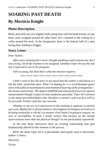## <span id="page-4-0"></span>**SOARING PAST DEATH By Morticia Knight**

#### **Photo Description**

Black and white pic of a slightly built young man with his head bowed, on one knee, arms wrapped around his other knee. He's chained to the ceiling by a collar around his neck. In the foreground, there is the bottom half of a man facing him, holding a flogger.

#### **Story Letter**

#### *Dear Author,*

*After years of doing this I never thought anything could surprise me, but I was wrong. Of all the trainees to be assigned, somehow Viper 44 was the last one I expected to see in the program.*

*Still so young, but then that's what the mission requires.*

\*\*\*\* \*\*\*\* \*\*\*\* \*\*\*\* \*\*\*\* \*\*\*\* \*\*\*\* \*\*\*\* \*\*\*\* \*\*\*\*

*I didn't want to box the story in too much that the author is tied down so I left the letter somewhat open. What I'm hoping for is a sci-fi/dystopia genre story with political machinations and emotional layering of the protagonists the mentor and trainee. The degree of BDSM and what preferences are open to interpretation though I expect at least moderate pain play. Viper 44's mission is one many have failed before him; therefore is mentor's job is to do it well so he succeeds. Failure only has one outcome.*

*Whether or not sex is in interwoven in the training or separate is entirely up to you. Maybe this is all just advance interrogation techniques survival or is he being trained for a role he's to assume. Only limits I'm going to request: no scat or necrophilia. If used, I prefer torture that focuses on the mental repercussions more than the physical though I'm not particularly squeamish.*

*In the end, these characters have an existing relationship that gets dramatically altered at this moment in the picture.*

*BTW, the name Viper 44 is a placeholder and maybe used or discarded, author's choice.*

*Sincerely,*

*Vivian*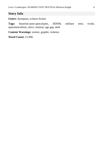#### **Story Info**

**Genre:** dystopian, science fiction

**Tags:** futuristic/post-apocalyptic, BDSM, military men, twink, spacemen/aliens, slave, reunion, age gap, dark

**Content Warnings**: torture, graphic violence

**Word Count:** 21,996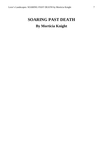### <span id="page-6-0"></span>**SOARING PAST DEATH By Morticia Knight**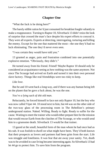#### **Chapter One**

<span id="page-7-0"></span>"What the fuck is he doing here?"

The barely edible ration he'd just consumed for breakfast fought valiantly to make a reappearance. Turning to Raptor 10, Silverback 13 didn't miss the look of surprise that crossed the man's face despite his expert efforts to conceal it. They were all experts. Experts at detecting, interrogating, torturing and killing the enemy. Except for the one that mattered the most—the one they'd had no luck eliminating. The one they'd never even seen.

"I was certain they would have told you."

13 grunted as anger, pain and frustration combined into one potentially explosive emotion. "Obviously, they didn't."

He turned away from his friend. Friend? Maybe Raptor 10 should only be considered an acquaintance seeing as how nothing was the same anymore. Not since The Scourge had arrived on Earth and turned it into their own personal slave factory. Things like real friendships were too risky to keep.

#### *Like love.*

But he and 10 went back a long way, and if there was any human being left on the planet that he gave a fuck about, he was the one.

#### *You're a lying sack of shit old man.*

Reluctantly, he forced himself to face not only Raptor 10, but the boy who was now called Viper 44. 10 stood next to him, but 44 was on the other side of the two-way glass of the processing room in The Rebellion's primary underground station. Naked. Willing. Ready to fight. Ready to suffer for the cause. Waiting to meet the trainer who would either prepare him for the mission that would rescue Earth from the clutches of The Scourge, or who would send him to a gruesome death. Silverback 13 would be that trainer.

13 gazed at the small, beautiful form of the man whom he had once had as his sub. It was foolish to dwell on what might have been. They'd both known that their prospects as lovers and partners had been grim from the start. Life was struggle and loneliness. It was fear that ate away your sanity. Yet, death was to be avoided in case living became interesting again. So Silverback 13 had let 44 go to protect him. To save him from the program.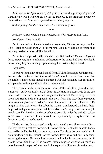*And here he is. After years of doing this I never thought anything could surprise me, but I was wrong. Of all the trainees to be assigned, somehow Viper 44 was the last one I expected to see in the program.*

*Still so young, but then that's what the mission requires.*

\*\*\*\*

He knew Cyrus would be angry, upset. Possibly refuse to train him.

*Not Cyrus. Silverback 13.*

But for a mission of such incredible magnitude, 13 was the only one that The Rebellion would trust with the training. And 13 would do anything that was required of him to aid The Rebellion.

At one time, Viper 44 had believed in love. Believed in 13's love—Cyrus's love. However, 13's unrelenting dedication to the cause had been the death blow to any hopes of lasting happiness together. 44 audibly snorted.

#### *Happiness.*

The word should have been banned from all Earth languages. Until recently, he had also believed that the word "love" should be on that same list. Regardless, none of his thoughts mattered. All that remained was for him to complete his training and face almost certain death.

There was little chance of success—none of The Rebellion plants had ever survived—but he wouldn't let that deter him. He had to at least try to be the one who made it, the one who would bring about the fall of The Scourge. His ex-Dom had tried to hide 44's special skills away from The Rebellion to prevent him from being recruited. What 13 didn't know was that he'd volunteered. 13 might not like that he was there, but the man also understood the basic facts. Viper 44 took pleasure in pain, and the Lord of The Scourge loved inflicting it. He'd soared higher than he'd ever believed possible under the skilled tutelage of 13. Now, that same instruction would aid in potentially saving 44's life. It no longer existed to save his soul.

The heavy iron door scraped noisily as it opened across the concrete floor. He kept his eyes cast downward as he sat on his heels, shoulders back, hands clasped behind his back in the program stance. The absurdity was that his cock was hardening at the thought of the former lover who had cast him aside entering the room. He wanted to be humiliated by his body's response, but it would serve him better if he wasn't. Maintaining an erection as much as possible would be part of what would be expected of him on his assignment.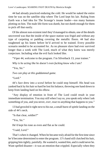44 had already practiced enduring the cold. He would be naked the entire time he was on the satellite ship where The Lord kept his lair. Ruling from Earth was a bad idea for The Scourge's insane leader—too many humans plotting on him. The male life-form was dumb, but not dumb enough for them to pick off that easily.

Of the almost non-existent intel they'd managed to obtain, one of the details uncovered was that the inside of the space station was frigid and without any type of carpeting or padding covering the metallic floors. 44 had also toughened up his knees before he'd arrived to be trained. Every possible scenario needed to be accounted for. As no pleasure slave had ever survived longer than a week with The Lord, much of what they knew was merely conjecture. Including what the evil fuck looked like.

"Viper 44, welcome to the program. I'm Silverback 13, your trainer."

*Why is he acting like he doesn't even fucking know who I am?* "Yes, Sir." *Two can play at this goddamned game.* "Lord."

44's face drew into a scowl before he could stop himself. His head was yanked back by his hair so hard he lost his balance, throwing one hand down to keep from landing hard on his elbow.

"Any display of emotion in front of The Lord could result in your immediate termination. You stay still when I say so, you speak only when I ask something of you, and you never, *ever*, react to anything that happens to you."

13 had growled it right next to his ear, a small burst of spittle landing on the side of 44's neck.

"Is that clear, soldier?"

"Yes, Sir."

He'd kept his tone as even and flat as he could.

"I said, *Lord*."

That's when it changed. When he became truly afraid for the first time since he'd become determined to enter the program. 13's hand still clutched his hair, gripping him tightly, painfully. He wanted it, wanted *him*, and it could never be. Want spelled disaster—it was an emotion that crippled. Especially when they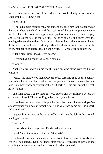were bound to a mission from which he would likely never return. Undoubtedly, 13 knew it too.

"Yes. Lord."

13 pulled him up forcefully by his hair and dragged him to the other end of the room where the shackles and the majority of the other implements were located. The entire room was approximately a thousand square feet and as gray and sterile as the rest of the facility. The only objects of beauty were the bondage devices themselves. In addition to the shackles—there were the chains, the benches, the tables—everything outfitted with cuffs, collars and restraints. Every manner of apparatus that he and Cyrus… 13, had ever delighted in.

"Stand here. Don't move. Eyes down."

He yelped as his cock was slapped harshly.

"Louder."

Another blow landed on his tip, the sting building along with the hint of pleasure.

"Make sure I know you feel it. Give me your screams. If he doesn't believe you're in a lot of pain, he'll make sure that you are. He has to accept that you love it no matter how excruciating it is." 13 barked it, his orders spat out fast, no hesitation.

The final strike was so hard, his toes curled and he grimaced before he could stop himself. This time 13 grabbed him by his throat.

"I've been in this room with you for less than ten minutes and you've already signed your death warrant twice." His voice had come out like a snarl. "You're done."

13 gave him a shove as he let go of his neck, and he fell to the ground, landing on his ass.

"*Bullshit*."

His words hit their target and 13 whirled back around.

"Yeah? You know what's bullshit Viper *44*?"

His face flushed and he appeared out of control as he rushed towards him. When 13 had been his Dom, he'd never lost control. Ever. Bent at the waist and stabbing a finger at him, any hint of control had evaporated.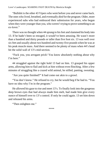"Bullshit is the other 43 Vipers who went before you and never came back. The ones who lived, breathed, and eventually *died* for the program. Older, more experienced subs who had embraced their submission for years, who began when they were younger than you, who weren't trying to prove something to an ex-lover."

There was no thought when 44 sprang to his feet and slammed his body into 13. If he hadn't been so enraged, it would've been amusing. He wasn't more than a hundred and thirty pounds or taller than five foot six. 13 was well over six feet and usually about two hundred and twenty-five pounds when he was at his peak muscle mass. And there seemed to be plenty of mass when 44's head hit the solid wall of 13's mid-section.

"Fuck you, you arrogant prick! You know absolutely nothing about why I'm here."

44 struggled against the tight hold 13 had on him. 13 grasped his upper arms, allowing him to flail and kick at him without even flinching. After a few minutes of struggling like a crazed wild animal, he stilled, panting, sweating.

"Are you quite finished?" It had come out akin to a growl.

"You don't know." He refused to cry, but he would beg if he had to. "You have no idea why I'm in the program."

He allowed his gaze to rise and meet 13's. To finally look into the gorgeous deep brown eyes that had always made him melt, had made him give every ounce of himself over to 13's control. If only he could again. 13 set him down and released his arms.

"Then enlighten me."

\*\*\*\*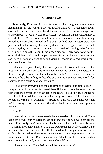#### **Chapter Two**

<span id="page-12-0"></span>Reluctantly, 13 let go of 44 and frowned as the young man turned away, hugging himself. He wouldn't allow himself to think of 44's real name. It was essential he stick to the protocol of dehumanization. All recruits belonged to a class of rebel—Viper, Silverback or Raptor—depending on their strength level and skill set. Vipers were small, crafty and vicious when they stung. Silverbacks were sheer strength and 13 was their lead Dom. Raptors were rage personified, aided by a synthetic drug that could be triggered when needed. After that, they were assigned a number based on the chronological order they were inducted onto the team. It was a good practice. There were so few of the original fighters left that it helped to keep from thinking of the ones you sacrificed or fought alongside as individuals—people who had other people who cared about them.

Which was a part of why 13 was so puzzled by 44's inclusion into the program. It had been difficult to maintain his temper when he'd spotted him through the glass. When he'd seen the only man he'd ever loved, the only one for whom he'd be willing to die. The one who now seemed ready to forfeit everything to a cause he'd once ridiculed.

13 had given everything to the goddamned program, but he'd hidden 44 away so he could never be discovered. Beautiful young men who were drawn to pain were the perfect tools to get close enough to The Lord. Close enough to kill. In addition, 44 had spent months trying to convince 13 to leave The Rebellion, to run away with him. 44's position had always been that opposition to The Scourge was pointless and that they should seek their own happiness together.

"Well?"

He was tiring of the whole charade that centered on him training 44. There had been a sweet purity buried inside of 44 that only he had ever been able to reach. 13 not only didn't want to see that become sullied, but he was also sure 44's annihilation at the hands of The Lord would be much swifter than the other recruits before him because of it. He knew 44 well enough to know that he couldn't be readied for the mission in two weeks. It was preposterous. And 44 wasn't a number to him. 44 was a human being that he still loved more than his own life. Fucking hell, more than anyone else's life as well.

"I have to do this. The mission is all that matters to me."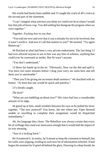His words had barely been audible and 13 caught the crack of 44's voice at the second part of the statement.

"I can't imagine what universe you think we could ever be in where I would buy that pile of horse crap. You did nothing but denigrate the program when we were together."

*Together. Fucking hurt to say that.*

"You told me over and over that it was a mistake for me to be involved, that it wasn't worth it. And now it's all that matters to you?" He snorted. "Try again Buttercup."

44 flinched at what had been a very private endearment. The last thing 13 had ever allowed anyone to see in him was any hint of softness, anything that could ever be construed as tender. But 44 wasn't anyone.

"You don't understand."

13 threw his hands up in the air. "Obviously. Now cut the shit and spill it. You have two more minutes before I drag your sorry ass outta here and tell them you're untrainable."

"Then you'll be giving me an instant death sentence." 44 chuckled with no humor. "At least that one would be quick and painless."

13's breath caught.

*The fuck?*

"What are you babbling on about now?" His voice had lost a considerable amount of its edge.

44 gazed up at him, small wrinkles between his eyes as he pulled his brow together. "The new protocol? You know, the one where any Viper deemed unable or unwilling to complete their assignment would be dispatched immediately."

Ah, the language they chose. The Rebellion was always certain that every bit of verbiage they used was innocuous enough that it would dull the impact of its true meaning.

"Son of a fucking bitch."

He'd muttered it. In reality, he'd meant to keep the comment to himself, but his walls were slipping, eroding as each new bit of information unfurled. It had begun the moment he'd spied 44 behind the glass. Drawing in a deep breath, he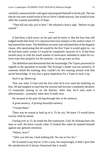carefully constructed the wall again and prepared himself to do his job. The one that he was sure would result in his ex-lover's death anyway, but would at least offer the scantest possibility of hope.

"Then tell me why you're here." He released a heavy sigh. "Before we get started."

\*\*\*\*

It had been a dick move on his part and he knew it. But the hurt that still lodged inside him from 13's rejection had risen sharply to the surface when 13 had entered the room. The Rebellion recruiter had informed him of the dispatch clause, idly mentioning that 44 would be the first Viper it would apply to—so 44 had been fairly certain 13 would be completely unaware of it. It had been tucked away in with his small arsenal of motivators intended to make his exlover train him properly for the mission—to not go easy on him.

The Rebellion had determined that the knowledge The Vipers possessed in regards to the operation to murder The Scourge's leader was too sensitive. If someone failed the training, they couldn't be left running around with that secret knowledge. It was also a great inspiration for a Viper to suck it up.

*Suck it up, Buttercup.*

That was what 13 had said the first time he'd ever used the bullwhip on him. 44 had laughed so hard that the session had become completely derailed, 13 eventually joining in on the hilarity. After that, he'd only used it affectionately—primarily when they'd made love.

He moaned at the pain slicing through him at the memory.

*A good memory. A fucking beautiful memory.*

"I found them."

There was no reason to lead up to it. To be coy. He knew 13 would know exactly what he meant.

Gazing over at 13, he noted the flat expression. God, he fucking knew the man so well. He knew exactly what 13 looked like when he masked himself against any genuine emotions.

"Where, how?"

"After you left me, I had nothing left. No one to live for."

He'd waited to say that to 13 for a year, but surprisingly, it didn't give him the satisfaction he'd always fantasized that it would.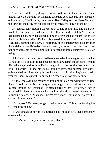"So I decided the only thing left for me to do was to hunt for them. Even though I saw the building my mom and sister had been holed up in torched into obliteration by The Scourge, I returned to Bear Valley and the Sierra Nevadas to search for them, search for someone who might've known of them."

He paused, remembering the day that 13 had found him. The man who would become his Dom had rescued him after the battle which he'd assumed had claimed his family. He'd been hiding in a cave and had fought like one of the local bobcats when 13 had discovered him and held him tenderly, eventually calming him down. 44 had barely been eighteen years old, born after the initial takeover. Raised on fear and distrust, it had surprised him that 13 had not only been able to reach him, but to initiate him into a submissive state of being.

All of his anxiety and dread had been channeled into the glorious pain that 13 had inflicted on him. It had become his elixir against the abject terror that life had always held for him. He had taught 44 to trust for the first time, to let go of his worry. 13, and his unique brand of love, had become 44's entire existence before 13 had abruptly torn it away from him after they'd only had a year together. Breaking the promise he'd made to always care for him.

"It took me over nine months of trekking through the wilderness to find them. I used the survival techniques you taught me as well as the focus I learned through our sessions." He stared directly into 13's eyes. "I never imagined I'd have a use again for anything that'd happened between us." Shrugging he added, "I suppose there's even more I can use now, given the current circumstances."

"Don't joke." 13's steely-edged tone had returned. "This is your fucking life we're talking about."

44 was amazed at how the calm trickled over him at first, then completely enveloped him.

"No. It's not. It's my mom and sister's lives."

\*\*\*\*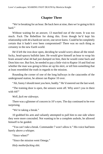#### **Chapter Three**

<span id="page-16-0"></span>"We're breaking for an hour. Be back here at nine, then we're going to hit it hard."

Without waiting for an answer, 13 marched out of the room. It was too much. Fuck The Rebellion for doing this. Even though he'd kept his relationship with 44 a hardcore secret, one never knew. Could he be completely certain that it hadn't ever been compromised? There was no such thing as certainty in the new Earth world.

He'd left the iron door open, deciding he would worry about all the mindfucky, head-spacey bullshit later. He would give himself an hour to wrap his brain around what 44 had just dumped on him, then he would come back and Dom him *raw*. But first, he needed to pay a little visit to Raptor 10 and find out whether the man was going to blow air up his skirt, or tell him something that at least resembled the truth in regards to the mission.

Rounding the corner of one of the long hallways in the catacombs of the underground station, he almost ran Raptor 10 over.

"Ah, funny I should meet you here, buddy." He'd sneered out the last word.

"The training door is open, the sensors went off. Why aren't you in there with  $44$ ?"

*Well, fuck me sideways.*

There was a glimmer of concern in 10's eyes. The day continued to be ever surprising.

"We're taking a break."

10 grabbed his arm and valiantly attempted to pull him to one side where they were more concealed. Not wanting to be a complete asshole, he allowed himself to be guided.

"You can't take a break. Commander 7 won't allow it." His voice had been barely above a whisper.

"Since when?"

"Since the mission went Omega."

*Holy motherfucking shit.*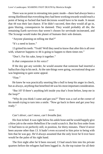There was no point in retreating into panic mode—there had always been a strong likelihood that everything they had been working towards would reach a point of being so fucked that hard decisions would have to be made. It meant that 44 was their last chance. If he didn't succeed, then they would all go in, guns blazing, consequences be damned. They would probably all die, the remaining Earth survivors that weren't chosen for servitude incinerated, and The Scourge would make the planet of humans their sole domain.

"Anyone planning on telling me that?"

"It's a need to know."

13 gritted his teeth. "Yeah? Well they need to know that after this is all over with, whatever happens to 44 is going to happen to them times ten."

"Don't. For his sake, keep it together."

*Is that compassion in his voice?*

If the day got any weirder, he would assume that someone had inserted a hallucifun chip in his neck. At the rate things were going, recreational drug use was beginning to gain some appeal.

"Fine."

He knew he was practically snorting like a bull to keep his anger in check, but as always, anything that benefited 44 was his most important consideration.

"But 10? If there's anything left inside you that's from before, keep me in the loop?"

"Why do you think I came and got you?" There was a curl at the corner of his mouth trying to turn into a smile. "Now go back in there and get your boy ready."

\*\*\*\*

*Can't shiver, can't move, can't breathe fast.*

His foot itched. It was right below his ankle bone and he would happily give a blow job to the entire Rebellion if he could scratch it. But his first order from 13 had been to sit perfectly still, in position, for thirty minutes. There'd never been anyone other than 13. It hadn't even occurred to him prior to being with him that he was gay. He'd always assumed that the only lover he'd ever have would be the palm of his right hand.

The first night after he'd been rescued, 13 had snuck him into his private quarters before the refugees had been logged in. As the top trainer for all their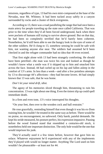missions, regardless of type, 13 had his own mini-compound at the base of the Nevadas, near Mt. Whitney. It had been tucked away safely in a canyon surrounded by rocks and a cluster of thick evergreens.

According to 13, there was a road paralleling the range that had once been a main artery for people traveling up the state once called California. That was prior to the time when they'd all been forced underground, back when there were pockets of humans still trying to survive above ground. But on that day, he had been so completely terrified that he'd barely been coherent. Nonetheless, he'd still been able to see the hungry look in the eyes of some of the other soldiers. He'd clung to 13, somehow sensing he could be safe with him, not wanting anyone else near. The soldiers had assumed he'd been checked in and the refugee commander had no idea that 44 even existed.

That first night alone with 13 had been strangely comforting. He should have been petrified—the man was twice his size and looked as though he wouldn't know what a smile was if it skipped up to him and smacked him across the face. Instead, 44 had curled up on his lap and fallen asleep in the comfort of 13's arms. In less than a week—and after a few pointless attempts by 13 to discourage 44's affections—they had become lovers. 44 had simply known that 13 was safe, that he was home.

#### *Don't let your mind drift, idiot.*

The agony of his memories sliced through him, threatening to ruin his concentration. 13 was right about one thing. Even the tiniest slip up could spell immediate death.

In a firm and even tone, 13's voice interrupted his thoughts.

"On your feet, then over to the wooden cock and ball restraint."

He rose gracefully, reminding himself that even though it was his ex-Dom training him, he wouldn't be treated in the same way as before. There would be no praise, no encouragement, no safeword. Only harsh, painful demands. He kept his stride measured, his posture perfect, his expression impassive. Pausing before the wood framed stand that resembled a centuries-old stock, it nonetheless held one important distinction. The only hole would be the one that would imprison his junk.

They'd actually used it a few times before, however that gave him no solace. Whatever enjoyment he'd experienced with any of the implements they'd played with would no longer matter. Anything The Lord used on him wouldn't be pleasurable—at least not for 44.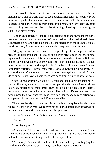13 approached him, back in full Dom mode. He towered over him in nothing but a pair of worn, tight as fuck black leather pants. 13's bulky, solid muscles rippled as he sauntered over to 44, running both of his large hands over his shaved head, then shaking them out as if in preparation for what was about to occur. Any reaction from the surprise at finding 44 in the program was gone as if it had never existed.

Handling him roughly, 13 tugged his cock and balls and stuffed them in the u-shaped, metal lined indentation of the crossbeam that had already been adjusted to his height. Gritting his teeth at the sensation of the cold steel on his sensitive flesh, 44 worked to maintain a blank expression on his face.

Bringing the wooden arm down, 13 trapped his genitals. He proceeded to tighten the steel lining and 44 focused on his even breathing as the inner lining squeezed his dick and sac. His gaze was trained forward and it was a fight not to look down at what he was sure would be his purpling cockhead and swollen nuts. In the past when he'd played with 13 on the stock, their interaction had been much different. It wasn't merely that 13 was now pushing him harder. The connection wasn't the same and that hurt more than anything physical 13 could do to him. His ex-lover's harsh touch was done from a place of separateness.

Once 13 had seemingly bound 44's cock and balls to his satisfaction, he yanked first one, and then 44's other wrist up to shackle them wide and above his head, stretched to their limit. Then he kicked 44's legs apart, before restraining his ankles in the same manner. The pull on 44's genitals was more pronounced than ever once his limbs were imprisoned, and as each action was completed, 44 remained still and 13 remained silent.

There was barely a chance for him to register the quiet whoosh of the flogger before it angrily splayed across his back, the knotted ends stinging him in an arc across one shoulder blade and his upper arm.

*He's using the one from before, the one I loved so much.*

"Out loud."

"I was trying to—"

44 screamed. The second strike had been much more excruciating than anything he could ever recall them doing together. 13 had certainly never before hit him with full strength and without any build-up.

"No talking. You shut the fuck up at all times unless you're begging the Lord to punish you more or moaning about how much you love it."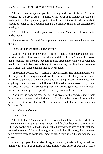The next blow was just as painful, landing on the top of his ass. About to practice his fake cry of ecstasy, he first bit his lower lip to assuage his response to the pain. 13 had apparently spotted it—the next hit was directly on his butt cheeks, the ends of the flogger nipping at the sensitive skin on the underside of his thighs.

"No hesitation. Commit to your love of the pain. Make him believe it, make *me* believe it."

Another strike. He couldn't comprehend how each one seemed worse than the last.

"Yes, Lord, more please, I *beg* of you."

Stupidly waiting for the words of praise, 44 had a momentary clutch in his heart when they didn't come. But why would they? It wasn't about the two of them reaching for sanctuary together, finding that balance with one another that would make their lives worth living. It was about staying alive long enough to kill a blight that threatened all that he held sacred.

The beating continued, 44 yelling in mock rapture. The rhythm intensified, the fiery pain traversing up and down the backside of his body. At his center was the hot, pulsing throb in his prick and sac—the pressure more intense than anything he'd ever known. He fell into it, fell into the dark arms of agony. Soon his cries morphed into something else, something genuine. A continuous wailing moan escaped his lips, the sounds hypnotic to his own ears.

Abruptly, the flogging ceased. Lost in a universe of his own making, it took him a moment to register that he hadn't looked for verbal approval from 13 that time. And that the awful beating he'd just endured hadn't been as unbearable as he'd thought.

#### *It couldn't be that easy.*

He was right.

The dildo that 13 shoved up his ass was at least lubed, but he hadn't had anyone inside him other than 13—ever—and that had been over a year prior. The shock of being filled to the max without any warning was half of what had freaked him out. 13 fucked him vigorously with the silicon toy, the burn even more severe than he could remember it being from when 13 had popped his cherry.

Once 44 got past the surprise of begin violated by the fake dick, he realized that it wasn't as large as it had seemed initially. His ex-lover was much more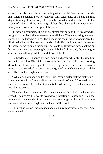endowed and 44 found himself becoming irritated with 13—concerned that the man might be behaving too hesitant with him. Regardless of it being his first day of training, they had very little time before 44 would be subjected to the abuse of The Lord. It was a good bet that their sadistic enemy was unacquainted with the concept of lubrication.

It was too pleasurable. The glorious stretch that he hadn't felt in so long, the pegging of his gland, the fullness—it was all there. There was a tingling in his spine, but it had nowhere to go. The pulse in his cock was so strong it gave the illusion that his swollen erection could explode. He couldn't move back to meet the object being rammed inside him, nor could he thrust forward. Yanking on his restraints, despite knowing he was tightly held all around, did nothing to alleviate his suffering. All he could do was take it.

He howled as 13 slapped his cock again and again while still fucking him hard with the dildo. His thighs shook with the strain of it all—sweat pouring down his neck and torso regardless of the temperature in the room. Soon tears joined the moisture leaking out of him. He ground his teeth together so hard, he actually feared he might crack them.

"Why aren't you begging for more, huh? You'd better fucking make sure I know you love it or I might eliminate you, get rid of you. Who needs a sex slave who's no fun? I'll just beat him until he's dead, maybe let all my minions fuck him to death…"

There had been a waver in 13's voice, then everything had simultaneously ceased. The images 13's words evoked were terrifying. Nauseating. They had to maintain the charade of what they were doing together by duplicating the surmised situations he might encounter with The Lord.

The next sensation was a spiked paddle on his already raw, tender ass. And so he begged.

\*\*\*\*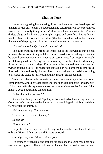#### **Chapter Four**

<span id="page-22-0"></span>He was a disgusting human being. If he could even be considered a part of the human race any longer. 13 had beaten and tortured his ex-lover for almost two weeks. The only thing he hadn't done was have sex with him. Various dildos, plugs and vibrators of multiple shapes and sizes had, but 13 hadn't touched 44 in that way at all. Everything that had been done to him had been in the name of the program, all in the name of eliminating the enemy.

#### *Who will undoubtedly eliminate him instead.*

The guilt crushing him from the inside out at the knowledge that he had been capable of committing such horrific acts on 44 was something he doubted he would ever overcome. No amount of reassurances from Raptor 10 could break through to him. The urge to vomit rose up in his throat as it had so many times in the past several days. Every time he had sensed even the smallest twinge of need, desire—he had turned it around on both of them by amping up the cruelty. It was the only chance 44 had of survival, yet that had done nothing to assuage the cloak of self-loathing that currently enveloped him.

He was startled from his reverie by an insistent banging on the door to his compartment. Since he was the trainer of the supposed last hope for humanity, 13 had been afforded quarters almost as large as Commander 7's. As if that meant a good goddamned thing to him.

"What the fuck d'ya want?"

It wasn't as though he didn't put up with an assload of lame every day. The Commander's constant need to know what he was doing with his boy made him want to filet the shithead.

*He's not your boy. Not anymore.*

"Come on 13, it's me. Open up."

*Raptor 10.*

"Just a minute."

He pushed himself up from the luxury cot that—other than their leader only the Vipers, Silverbacks and Raptors enjoyed.

*One Viper anyway. All the rest are gone.*

His stomach twisted like one of those old-fashioned washing machines he'd seen on the digi-com. There had been a channel that showed advertisements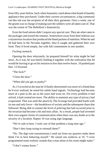from fifty years before, back when humanity cared about what brand of laundry appliance they purchased. Under their current circumstances, a big communal vat-like tub was the recipient of all their dirty garments. Once a week, one of the grunts was in charge of making sure the soldiers were all taken care of. That was the extent of The Rebellion's domesticity.

Even the food rations didn't require any special care. They ate what came in the packages and tossed the remains. Somewhere away from their hideout was a mysterious location that produced the bland packets of nutrition. When he and 44 had been in the Nevadas together, they'd caught and gathered their own food. They'd lived simply, but with full contentment in one another.

#### *Fucking stomach.*

Opening the door reluctantly, he prepared himself for what might be bad news. As it was, he was barely holding it together with the realization that 44 would be leaving to go on his mission in less than twelve hours. 10 pushed past him. 13 frowned.

"The fuck?"

"Close the door."

"When did you get so pushy?"

As 13 scowled at the man he'd finally determined was more of a friend than he'd ever realized, he noted his subtle hand signals. Technology had become more of a pain in the ass as the years had worn on. For every problem it had solved, it had created ten more. The ability to maintain any type of privacy had evaporated. That was until the attack by The Scourge had provided Earth with its one and only favor—the breakdown of society and the subsequent chaos that followed. Being able to sustain the level of policing that had occurred prior to the invasion had become a hit and miss affair. As a result, people had invented their own organic forms of communication when there was any doubt as to the security of a location. Raptor 10 was using sign language.

"We're safe in here. I took care of that problem a long time ago."

"Don't they keep trying to reinstall them?"

"No. The digi-com transmissions I send out from my quarters make them think I'm in here behaving myself." He raised one eyebrow at 10. "I even programmed some realistic sounds that a man alone in his room might make."

"I don't wanna know."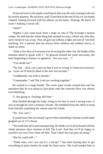10 moved over to the plank wood bench that was the only seating in the ten by twelve quarters. He sat down, and 13 perched at the end of his cot, his hands clasped, leaning forward with his elbows on his knees. Waiting. He knew 10 wasn't making a social call.

"Well?"

"Raptor 5 just came back from a siege on one of The Scourge's minion camps. He said that the whole thing had seemed too easy, which was why they were certain it was a trap. They all gave up without a fight, not one of 'em tried anything. For a species that has always been ruthless and without mercy, it made no sense.

"After a few days of everyone sort of sussing the other out, the leader of the minions asked to speak with 5." 10 glanced around the room nervously, his knee beginning to bounce in agitation. "Are you sure…?"

"You doubt me?"

"No, but… fuck. Let's just say that if you're wrong, it's been nice knowin' ya, 'cause we'll both be dead in the next ten seconds."

"Goddammit, out with it already."

"Commander 7 and The Lord are working together."

He sucked in a large breath. The room spun crazily around him and the sensation that he was about to face-plant onto the concrete floor was almost overwhelming.

"I. Am going to. Fucking. *Kill* him."

Heat flushed through his body, rising to his face in such a strong wave, it was as though he were a human volcano. He trembled from the effort to keep from literally exploding his venom onto his friend.

"No. You can't."

A sound more like an animal's growl than something a human would make gurgled out of 13's throat.

"We need him alive and unsuspecting. He thinks we're all on board with the whole pleasure slave mission to kill The Lord. And that we'll be happy to sacrifice our own lives when 44 fails. That's been the real plan all along."

"But he could still—"

"Think man, can't you see it's a set-up? 7 has been buying time to get everything in place before he made his final move. The Lord needed him to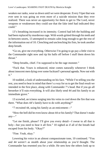weaken our ranks, wear us down until we were desperate. Every Viper that was ever sent in was going on even more of a suicide mission than they ever realized. There was never an opportunity for them to get to The Lord, never weapons or weaknesses they could use that the fake intel had indicated they could."

13's breathing increased in its intensity. Control had left the building and had been replaced by murderous rage. With words gritted through his teeth and in-between snorts, 13 attempted to remain calm long enough to get the rest of the information out of 10. Clenching and unclenching his fists, he took another deep breath.

"Go on, give me everything. Otherwise I'm going to go pay a little visit to the Commander right now and rip his balls off before I stuff them down his throat."

"Deep breaths, chief. I'm supposed to be the rage monster."

"Fuck that. Yours is enhanced, mine comes naturally whenever I think about innocent men dying over some fucktard's personal agenda. Now out with it."

10 nodded, a look of understanding on his face. "While I'm telling you the rest, you need to bear in mind that there's a way for us to get the final result we intended in the first place, along with Commander 7's head. But if you go all berserker it'll ruin everything. It will also likely send 44 and his family to an immediate grave."

13 scowled, an iciness surging into his veins to cool down the fire that was there. "What does 44's family have to do with anything?"

"7 recruited 44, using his family as an enticement—"

"How the hell did he even know about 44 or his family? That doesn't make any $-$ "

"Let me finish, please? I'll give you every detail—I swear to all that is holy—but you need to hear it all first." 10 sighed as if all of the breath had escaped from his body. "Okay?"

"Fine. Yeah, okay."

Lowering his voice in an almost compassionate tone, 10 continued. "You and 44 weren't as stealth about your relationship as you'd thought. The Commander has resented you for a while. He sees how the others look up to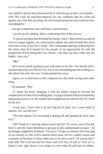you, and he's always been threatened by it. Once he got in bed—so to speak with The Lord, he searched tirelessly for any weakness that he could use against you. 44 is that one thing, the only human being that you would sacrifice everything for."

His gut twisted into new and before untried knots.

*I let him go for nothing, likely condemning him in the process.*

"It was no accident that 44 found his family. Once 7 discovered you and 44 were no longer together, he contacted his cohorts who then located 44's mom and sister in one of the slave camps. The Commander had been following him the entire time he'd hunted for his people, so he approached 44 with the proposition of him being their last chance—the only one that could save his family. Save you."

"*Me*?"

He'd never heard anything more ridiculous in his life. Not that he didn't need saving in his own bizarre way, but it was astonishing that 44 would give a shit about him after the way 13 had pushed him away.

*I guess we've both been a little confused over the whole saving each other thing.*

He grunted. "Shit."

13 shook his head, dropping it into his palms, trying to unravel the complexities of what 10 was telling him. Trying to discern if he even believed a minuscule portion of it. He startled and straightened up when he felt 10's hand on his arm.

"Look man, I know this is all one big pile of puke, but I swear there're options. We can still win."

"The first option I'm exercising is getting 44 and getting the fuck outta here."

"Oh? Think he's leaving without mom and sis? Of course, even if he did, there's only the entire Rebellion to get past in this underground rat maze." 10 mockingly slapped his forehead. "I'm sorry, I forgot to mention that mom and sis are already on The Lord's station where there will be a public torture and execution of the three of them while you're forced to watch. Of course, that's only after The Lord has had his kicks with your boy. If half of what we've heard is true, ugly doesn't even begin to cover what 44 will have to endure.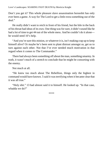Don't you get it? This whole pleasure slave assassination horseshit has only ever been a game. A way for The Lord to get a little extra something out of the deal."

He really didn't want to retch in front of his friend, but the bile in the back of his throat had ideas of its own. One thing was for sure, it didn't sound like he had a lot of time to get 44 out of the whole mess. And he couldn't do it alone he would need 10's help.

"And you're sure this minion, or whatever it is, isn't making crap up to keep himself alive? Or maybe he's been sent to plant distrust amongst us, get us to turn against each other. Not that I've ever needed much motivation in that regard when it comes to The Commander."

There had always been something off about the man, something smarmy. In truth, it wasn't much of a stretch to conclude that he might be consorting with the enemy.

Not much at all.

"He knew too much about The Rebellion, things only the highest in command would have known. 5 said it was terrifying when it became clear that it was all true."

"Holy shit." 13 had almost said it to himself. He looked up. "In that case, whadda we do?"

\*\*\*\*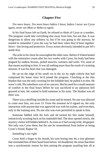#### **Chapter Five**

<span id="page-28-0"></span>*Ten more hours. Ten more hours before I leave, before I never see Cyrus again, never see Mom or Rebecca again.*

In his final hours left on Earth, he refused to think of Cyrus as a number. The program could take everything else away from him, but not that. It was dangerous to allow any softness in, but if he was going to die anyway, he needed to remember Cyrus the way he had been when they'd been together. Strict—but loving and protective. Every action obviously intended to put 44's needs first.

The ache in his chest far outweighed the other ones. Before it'd been healed with the restorative cream after his two weeks with Cyrus, his body had been plagued by endless bruises, pulled muscles, soreness and welts. Yet, none of that meant anything to him. It was all nothing more than the result of a training mission. It was his heart that was damaged.

He sat on the edge of his small cot in the six by eight cubicle that had comprised his home since he'd joined the program. Clutching at the thin blanket that was the only covering for the foldable bed, he pulled it to him. He wasn't cold. His nakedness was of no concern. But his need for a small measure of comfort in the final hours before he was sacrificed to an unknown hell gnawed at him. He wanted to hold someone in his arms. The blanket was all there was.

There was a shuffling outside his room and he tensed. No one was allowed to come near him, not even 13. From the moment he'd signed on, the only interaction with anyone that was approved was with his trainer, and even then, only in the training area. No one else was even permitted to speak to him.

Someone fiddled with the lock and 44 tucked his feet under himself, instinctively scooting back on his makeshift bed. The door opened slowly, the mystery visitor still hidden behind it. As soon as it had swung wide, 44 gasped. Not only was Cyrus there, but the one he remembered from before as being Cyrus's friend, Raptor 10.

#### *Something's not right.*

Cyrus held a finger to his mouth, his eyes boring into 44, a tiny glimmer that reminded him of their bond from before. 44 shuddered, the sense that there was a synchronistic reason for him joining the program assailing him all at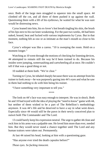once. Both of the large men struggled to squeeze into the small space. 44 climbed off the cot, and all three of them pushed it up against the wall. Questioning them with a lift of his eyebrows, he waited for what he was sure would be distressing news.

Cyrus leaned into him, his ex-lover's hot breath tingling his skin, the brush of his lips next to his ear knee-weakening. For the past two weeks, 44 had been naked, bound, beat and fucked with various implements by Cyrus. But in that moment, nothing felt as raw or as intimate as the man's mouth so close to his face.

Cyrus's whisper was like a caress. "10 is sweeping the room. Hold on a moment longer."

Watching as 10 went through the motions of checking for listening devices, 44 attempted to remain still the way he'd been trained to do. Because his insides were jumping, somersaulting and cartwheeling all at once. He couldn't tell if that was a good thing or not.

10 nodded at them both. "We're clear."

Turning to Cyrus, he inhaled sharply because there was no attempt from his trainer to look away—he was purposely gazing into 44's eyes and what he saw in them had nothing to do with him being his trainer.

"I have something very important to tell you."

\*\*\*\*

The look on 44's face was easy enough to interpret. He was in shock. Both he and 10 had toyed with the idea of playing the "need to know" game with 44, but neither of them wished to be a part of The Rebellion's methodology anymore. It was 44's life and he deserved to have a say in what went down. Especially since 44 would still be the pawn in their newly conceived plan to outwit both The Commander and The Lord.

13 could barely keep his expression neutral. The urge to gather 44 close and rock him in his arms was a palpable one. He loved him more than ever, needed him. But they would never stand a chance together until The Lord and any human traitors were taken out. Permanently.

At last 44 raised his head, looking at him with a questioning gaze.

"Has anyone ever tried the death capsules before?"

*Those eyes. So fucking innocent.*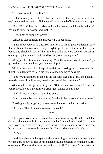"No. You would be the first."

13 had already let 10 know that he would be the only one who would explain everything to 44—all that would be expected of him. It was only right.

"And if I don't bite him hard enough on the first try, and the poison doesn't get inside him, I'm worm food, right?"

13 tried not to cringe. "Correct."

Unable to stop himself, he grabbed 44's upper arms.

"But I know you can do this. You *have* to. The training we've done is more than sufficient for you to last long enough to get to him. I know he'll have you bound and shackled most of the time, but strike the very second you get an opening, right when he's distracted by tying or chaining you."

44 dipped his chin in understanding. "And the minions will help you guys get to the station by taking you on their ships?"

Working extra hard to keep himself from stroking 44's cheek with his thumb, he attempted to keep his tone as encouraging as possible.

"Yes. We'll get there as soon as the capsules signal to us that the poison's been deployed. It will be easy to take the rest of them out then."

44 scrunched his eyebrows together. "But how can you be sure? How can you really know that the minions aren't just faking you all out?"

The kid wasn't an idiot. Never had been.

"We can never be sure of anything. But this is the surest we've ever been."

Pressing his lips together, 44 seemed to have reached a conclusion.

"All right. Then fit the capsules on my teeth."

\*\*\*\*

Their good-byes, or lack thereof, had been excruciating. 44 had sensed that Cyrus had wanted to hold him as much as he'd wanted to be held. That there were words unspoken that might never be said. The distance between them had begun to evaporate from the moment his Dom had entered 44's cubicle.

*My Dom.*

He didn't give a fuck anymore about anything other than eliminating the vile creature known as The Lord so that he could go back to belonging to Cyrus once again. Because that was the reality. Even if Cyrus wasn't interested in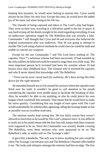keeping him anymore, he would never belong to anyone else. Cyrus would always be his Dom, his only love. Except this time, he would have the added joy of his mom and sister being in his life too.

The charade of being captured and taken to The Lord's ship had begun. They were on their way, traveling at a ridiculous speed to the lair in space. It was hard to keep all the details straight in his mind regarding everything. It was an undercover operation staged by The Rebellion that was actually a fake. Commander 7 still thought that Cyrus and 44 and everyone else believed the original assassination plan was underway. That 44 was going to attempt to murder The Lord using whatever methods he could since he would be nude and unable to conceal any weapons.

Except for the one Commander 7 and The Lord knew nothing of. The capsules. Once 7's nefarious scheme had been uncovered, 10 had rounded up the only soldiers he believed could be trusted to stage their own little coup. The most important person he'd recruited had been the scientist whom 10 had known since their childhood days. The scientist who'd invented the capsules and who'd never shared that knowledge with The Rebellion.

#### *"Turns out he never cared much for authority. He's been saving this little device for the right moment."*

44 reminded himself not to lick around his incisors where the capsules were fitted over his teeth. It wouldn't be good to call attention to his mouth considering the capsules were needle sharp to facilitate the breaking of skin. Also, he wouldn't be able to eat anything, or else he could pierce his own tongue which would kill him instantly. That meant that he would have to make his move quickly. Considering that any length of time spent with The Lord would undoubtedly be unbelievably agonizing, offing the Scourge leader as fast as possible was an excellent motivator.

The minions nearby kept eyeing him. He was fairly certain they weren't allowed to touch him as he would be The Lord's pleasure slave. It was difficult to work out in his mind whose side the four foot tall, lumpy dark blue creatures were supposed to be on. Since the Commander was actually double crossing The Rebellion, were these minions who were purported to be on The Rebellion's side, in reality still on The Scourge's side?

It gave him a headache. The only way to know anything for sure would be when The Scourge's incinerator rays and The Rebellion's boomer rifles battled it out. The looks and whispers amongst the minions had him on edge. The fear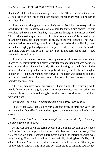that they'd all been found out already troubled him. The certainty that it would all be over soon one way or the other had never been more real to him than it was right then.

After being up all night plotting with Cyrus and 10, it had been easy to doze off during the trip. A sharp jostle of his shoulder startled him awake. His gut clenched at the realization that they were passing through an enormous hatch of The Lord's massive space station. If his circumstances hadn't been so dire, he might have been able to appreciate the beauty of the ship. It shone. There was nothing dark or foreboding about it, nothing tarnished or dingy. Bright, clean metal like a highly polished platinum comprised both the outside and the inside. The lines were soft and round—not the unforgiving hard edges that 44 had assumed it would have.

As the carrier he was on came to a complete stop, 44 shook uncontrollably. It was as if every muscle and nerve, every tendon and ligament was doing its own private dance inside his body. He was fucking terrified. One of the minions that had a grander outfit on grabbed him by the leash that dangled loosely at 44's side and yanked him forward. The chain was attached to a one inch thick metal collar that had been locked onto his neck as soon as he'd boarded the small ship.

The blue creatures were everywhere. Their funny little shuffling walk would have made him giggle under any other circumstance. *Any* other. He allowed himself to be jerked along by the alien grunt, considering it to all be a part of the act.

#### *It's an act. That's all. I've been trained by the best, I can do this.*

That's what Cyrus had said to him over and over, up until the very last moment when they'd held one another's gaze. Up until the door to the ship had closed.

#### *"You can do this. There is more strength and power inside of you than any soldier I have ever known."*

As he was led down the large expanse of the main section of the space station, he couldn't help but look around with fascination and curiosity. The way the various bubble-shaped adornments dotting the interior sparkled was very inviting. How could something so aesthetically pleasing be crafted by such a hateful species? Yet, he was certain there was more to everything than any of The Rebellion knew. If one large and powerful group of minions had already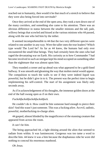reached out to humanity, then would it be that much of a stretch to believe that they were also being forced into servitude?

Once they arrived at the end of the open area, they took a turn down one of the many corridors, and something else came to his attention. There was an obvious difference in status between the smaller minions and the tall, pale, willowy beings that scowled and hissed at the various minions who 44 passed, along with the one who led him by the tether.

It seemed incomprehensible to 44 that the two very different species were related to one another in any way. Were the taller ones the true leaders? Which type would The Lord be? As far as 44 knew, the humans had only ever encountered the small blue beings. They had certainly been the ones who had raged the devastating war on Earth. His curiosity as to how Commander 7 had become involved in such an intrigue kept his mind occupied on something other than the nightmare that was almost upon him.

They rounded a corner and up ahead was what appeared to be a gold-lined hallway. It was smooth and gleaming the way that molten metal would appear. The compulsion to touch the walls to see if they were indeed liquid was powerful, but he didn't give in to it. The present was the perfect time to begin implementing his self-control. The start of his assignment was likely only seconds away.

As if in acknowledgement of his thoughts, the immense golden doors at the end of the hall swung open as if on their own.

#### *Fuckohfuckohfuckohfuckohfuck.*

He couldn't do it. How could he bite someone hard enough to pierce their skin? And this wasn't just someone. This was a fucking *alien*. An evil, sadistic, powerful, motherfucking-in-charge alien.

44 gasped, almost blinded by the magnificence of the stunning creature that appeared from across the room.

#### *It can't be him.*

The being approached 44, a light shining around the alien that seemed to radiate from within. It was luminescent. Gorgeous was too tame a word to describe him. 44 knew it was a him because the diaphanous robe he wore did nothing to conceal his enormous manhood.

*Oh Jesus.*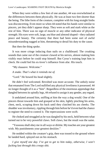When they were within a few feet of one another, 44 was overwhelmed at the differences between them physically. He was at least two feet shorter than the being. The lithe form of the creature, complete with his long straight limbs was disconcerting. Even more so when 44 noted that his hands were similar to pincers, yet they didn't appear sharp. They were as soft and stark white as the rest of him. There was no sign of muscle or any other indicator of physical strength. His eyes were soft, large, sea blue and almond shaped—they radiated peace and beauty. The certainty that there had been some sort of awful misunderstanding nagged at him, threatening to derail his duty to the cause.

But then the thing spoke.

It was more cringe inducing than nails on a chalkboard. The croaking sounds that came out of the creature clawed at his nerves, almost making him visibly react before he could stop himself. But Cyrus's training kept him in check. He could feel his ex-lover's influence from afar. His touch.

"My slaaaave. Welcome."

*A snake. That's what it reminds me of.*

"Lord." He bowed his head slightly.

He didn't feel welcomed. Revolted was more accurate. The unholy noise that emanated from The Lord nullified any physical loveliness it possessed. 44 no longer thought of it as a "him". Regardless of the enormous appendage that dangled between its spindly legs, 44 refused to assign it any gender, any regard.

It undulated around him, sniffing at him the way a dog would. One of the pincers thrust towards him and grasped at his skin, lightly pinching his arms, chest, neck, scraping down his back until they clutched his ass cheeks. The shudder was involuntary, rippling through him before he'd even had the chance to register the need to control it. The repercussions were swift.

He choked and struggled as he was dangled by his neck, held between what turned out to be very powerful claws. Soft claws, but the result was the same.

"Yooooou shall obey me in all ways or diiiiiie. My touches are your greatest wish. My punishments your greatest desitiire."

He nodded within the creature's grip, then was tossed to the ground where he landed hard, splayed out on his stomach.

*I* give myself one day. I've got to get to him today, otherwise, I won't *fucking last through this creepy shit.*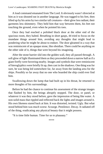A loud command emanated from The Lord. It obviously wasn't directed at him as it was shouted out in another language. He was tugged to his feet, then lifted up by his arms by two similar tall creatures—their glow less radiant, their garments less shimmery. They held him that way between them, his feet not touching the ground, even when he pointed his toes.

Once they had reached a polished black door at the other end of the spacious room, they halted. Breathing in short gasps, 44 tried to focus on the mundane things around him, avoiding any thoughts that might lead to pondering what he might be about to endure. The door gleamed in a way that was reminiscent of an opaque stone, like obsidian. There could be anything on the other side of it, things that were beyond his imagining.

After the stone barrier slid into the golden wall, they all passed through. A soft glow of light illuminated them as they proceeded down a narrow hall as if a giant firefly were hovering nearby. Images and symbols that were reminiscent of hieroglyphics were briefly lit up, then cast in the shadows. One thing was for sure, he was being led somewhere far, far away from the landing area for the ships. Possibly so far away that no one who boarded the ship could ever find him.

Swallowing down the lump that had built up in his throat, he returned to more thoughts of his surroundings.

Before he had the chance to continue his assessment of the strange images that flashed by him, the beings abruptly stopped. The door, or panel, or whatever it was they stood before, gave the impression of being like water. A non-solid mass that rippled and reflected back the lights and images around it. His own likeness stared back at him. It was distorted, twisted. Ugly. But what stood behind him was much worse. Scourge. Pestilence. Decay. It radiated off of the thing, eradicating any physical beauty that it might possess.

"It is time little human. Time for us to plaaaaay."

\*\*\*\*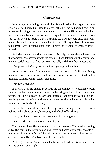#### **Chapter Six**

<span id="page-36-0"></span>In a purely humiliating move, 44 had fainted. When he'd again become conscious, he'd been distressed to discover that he was tied spread-eagled on his stomach, lying on top of a smooth glass-like surface. His wrists and ankles were restrained by some sort of wire. It dug into his delicate flesh, and it was easy to tell when he tested it that if he pulled too hard, it would slice him to his bone. He would have no choice but to stay still regardless of whatever punishment was inflicted upon him—unless he wanted to gravely injure himself.

As he became more and more aware of his body, he was alarmed to realize that something wasn't right with his genitals. They felt unnaturally heavy, and were most definitely not flush between his belly and the surface he was tied to.

*That freak pulled my junk through an opening in this table.*

Refusing to contemplate whether or not his cock and balls were being restrained with the same wire that his limbs were, he focused instead on his training. Stillness. Calm, steady breathing.

"My toy awaaaaakes."

If it wasn't for the unearthly sounds the thing made, 44 would have been sure he could endure almost anything. But by being such a fucking coward and passing out, he'd already missed one potential opportunity to take out the revolting creature before he'd been restrained. And now he had no idea what was in store for his helpless body.

He bit the inside of his mouth to keep from reacting to the soft pincers poking and probing at him, bile rising in the back of his throat.

"Do you like my caressesssss? Are they pleaaaasing to you?"

"Yes, Lord. Touch me more, I beg of you."

His tone had been flat, unconvincing to his own ears. His words sounding silly. The games, the scenarios he and Cyrus had acted out together would be next to useless in the face of the vile being that stood next to him. He was absolutely, royally, figuratively and literally fucked.

A strangled buzzing noise emanated from The Lord, and 44 wondered if it was its version of a laugh.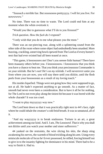"Sssssuch a terrible liar. But ssssssoooo prettyyyyy. I will let you live. For nowwww."

No time. There was no time to waste. The Lord could end him at any moment when the whim overtook it.

"Would you like to guessssss what I'll do to you firssssst?"

*Trick question. How the fuck do I respond?*

"I only wish that you do to me what pleases you the most."

There was an ear-piercing roar, along with a splintering sound from the other side of the room where some object had undoubtedly been smashed. More buzzing, crackling, unnerving howls spewed from The Lord as if every hornet's nest that had ever existed had all been teased at once.

"This game, it boooooores me! Don't you seeeee little human? There have been maaaany others before you. I knooooooow. I knoooooow that you think you have a chance to beat me. That you think your precioussssss Commander is on your siiiiiide. But he's not! He's on *my* siiiiiide. I will neverrrrrrr untie you from where you are now, you will stay there until you diiiiiie, until the flesh peels from your boooooones as a result of my loving touch."

His insides liquefied. Things were not going how they were supposed to go, not at all. He hadn't expected anything to go smooth. As a matter of fact, smooth had never even been a consideration. But to have it all be for nothing, for The Lord to not even play along the tiniest bit because it was bored with the whole charade? It was too cruel.

"I want to play myyyyyyy way now."

The Lord bent down so that it was practically right next to 44's face, right where he could inhale the creature's cold fetid breath. It was so unnatural, all of it.

"And my wayyyyyy is to break soulssssss. Torture is an art, a great achievement among our kind. And I. I am, *The Looooord*. That is why you shall not diiiiiie until you watch your mother and sister sufferrrrrrr."

44 yanked on the restraints, the wire slicing his skin, the sharp sting awakening his nerves, the warmth of blood trickling along his arm. Using every miniscule molecule of focus he'd ever possessed, he stilled, forcing himself not to give in to the insanity fighting for dominance in his mind. There had to be a way to finish it. Had to.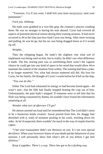"Yesssssss. Cry if you want, I shall lick your tears awayyyyyy, taste your paaaaaaain."

#### *Fuck you, shitheap.*

His balls were grabbed in a vice-like grip, the creature's pincers crushing them. He was no stranger to having his nuts abused. Cyrus had covered all aspects of potential physical torture during their training sessions. It had never occurred to 44 at the time just how kind Cyrus was being. After more twisting and pulling, he was let go, but his sac was being dragged down as if it would rip off.

#### *Weights.*

Then the whipping began. He hadn't the slightest clue what sort of implement was being used on him, but in reality, he didn't see what difference it made. The hot, searing pain was so unrelenting there wasn't the vaguest chance he could get into any kind of space in his mind that would allow 44 to maintain the control of the situation from within. The training had been a joke. It no longer mattered. Yet, what had always mattered still did. His love for Cyrus, for his family. He thought of Cyrus's words before he'd left on the ship.

#### *"You can do this."*

Either The Lord had exhausted its energy or had become bored again—44 wasn't sure—but the filth had finally stopped beating the crap out of him. Unfortunately, the pain hadn't stopped. If someone were to tell him that his flesh was being consumed by flames, he wouldn't have found the information surprising at all.

#### *Wonder what sort of aftercare I'll get?*

He almost snorted out loud until he remembered that The Lord didn't seem to be a humorous kinda creature. Sweat poured from him, his shaggy hair drenched with it, trails of moisture pooling in his crack, trickling down his sides. As he'd suspected, there wouldn't be much in the way of respite from his captor.

"I bet your traaaaaainer didn't use thissssss on you. It's our own special deviiiiiice. When your loverrrrrr learns of your death and the failurrrrrre of your mission, I will personally show him what's left of you before I gut him aliiiiiive."

*Keep it together. There's a way. There has got to be a fucking way.*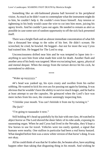Something like an old-fashioned plasma ball hovered in his peripheral vision. As much as he didn't want to contemplate what the instrument might do to him, he couldn't help it. He couldn't even brace himself. Any tension or tightening in his body would cause the wire to cut into him more, juicing his agony levels. And he couldn't pass out again. He needed to remain as alert as possible in case some sort of random opportunity to off the sick fuck presented itself.

There was a bright flash and an almost immediate concentration of what felt like a thousand bee stings to the soles of his feet. He didn't scream. He screeched, he cried, he howled. He begged—but not for more the way Cyrus had trained him. He begged for The Lord to stop.

Unconsciousness drifted near him and he was tempted to lapse into it anything to save him from what made him wish for death. Another flash and another area of his body was targeted. More excruciating hurt, agony, physical and mental despair. When the energy from the torture device hit his cock, he surrendered to oblivion.

\*\*\*\*

"Wake up toyyyyyy."

44's head was yanked up, his eyes crusty and swollen from his earlier sobbing. He wanted to kick his own ass for pussing out again by fainting. It was obvious that he wouldn't have the ability to survive much longer, and he had to at least attempt to use the capsules. He grimaced when the Lord's face was mere inches from his own, the creature seemingly inspecting him.

"I liiiiiike your mouth. You can't hiiiiiide it from me by twisting it."

*The fuck?*

"I'm going to taaaaaake it now."

Still holding 44's head up painfully by his hair with one claw, 44 watched in abject horror as The Lord shoved the sheer fabric of its robe aside, exposing its nauseating organ. When he and Cyrus had lived in the Nevadas, they'd kept a few horses to use for travel. Vehicles were too easily spotted, a signal that humans were nearby. One stallion in particular had been a real horny bastard. What dangled before him was a snow white version of that horse's dong. It was not okay.

All he could think of was that he'd rather die, be beaten alive, have anything happen other than taking that disgusting thing in his mouth. And wishing he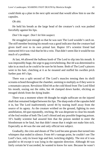could think up a plan in the next split second that would allow him to use the capsules.

#### *Oh shit.*

He held his breath as the large head of the creature's cock was pushed forcefully against his lips.

#### *Don't be eager. Don't let him suspect.*

He struggled just enough so that he was sure The Lord wouldn't catch on. The stiff member bruising his mouth was a good indicator that the creature had given itself over to its own primal lust. Raptor 10's scientist friend had instructed 44 it was vital that he hit a vein. That didn't seem like it would be too much of a problem.

At last, 44 allowed the bulbous knob of The Lord to slip into his mouth. It was impossibly huge, the urge to gag overwhelming. But 44 was determined to take in as much as he could to be sure he hit home. Both of The Lord's pincers went to his hair, clutching at it as he moaned and stuffed his swollen prick further past 44's lips.

There was a split second of The Lord's muscles tensing then its shrill screams echoed throughout the chamber, seeming to multiply as if they were in a mountain canyon. Revulsion filled 44 as the cold blood from The Lord filled his mouth, oozing out the sides, but 44 clamped down harder, eliciting an enraged shriek from the dying leader.

There was a moment where 44 thought he might suffocate on the injured shaft that remained lodged between his lips. The sharp ends of the capsules held it in, but The Lord inadvertently saved 44 by tearing itself away from the source of its agony. As the creature writhed on the ground, fighting its own annihilation, 44 spat repeatedly, retching. He was desperate to clear his mouth of the foul residue of both The Lord's blood and any possible lingering poison. 10's buddy scientist had assured him that the poison needed to enter the bloodstream to be fatal, but that didn't mean that it might not make him sick. Especially as 44 was the one and only official test subject.

Gradually, the cries and shouts of The Lord became groans that turned into whimpers that ended in silence. From 44's vantage point, he couldn't see The Lord's face, only its lower legs and feet, twitching slightly. The rest of it was parallel to 44 except it was lying in the opposite direction. Although 44 was fairly certain he'd succeeded, he wanted to know for sure. Because he wasn't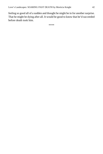feeling so good all of a sudden and thought he might be in for another surprise. That he might be dying after all. It would be good to know that he'd succeeded before death took him.

\*\*\*\*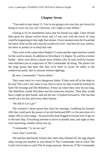#### **Chapter Seven**

<span id="page-42-0"></span>"You need to stay sharp 13. You're not going to do your boy any favors by being so worn out you can't function, can't fight to your fullest."

Glaring at 10, he nonetheless knew that his friend was right. Viper 44 had been gone for almost twelve hours and 13 was sick with the terror of what could be happening to him right that minute. Every moment since he'd watched the hatch close on the only man he would ever love. And here he was, useless, not there to protect or to keep him safe.

They were at the camp where Raptor 5's team and the rogue minions waited for the word to attack. In addition to Silverback 13, Raptor 10, and his scientist buddy—there were about a dozen more soldiers who 10 said could be trusted, who had been just as suspicious of The Commander all along. The pretext for the large group had been that they were there to escort 44 safely to the rendezvous point, due to unusual minion sightings.

#### *By now, Commander 7 knows better.*

They were stuck in a very dangerous limbo. If they took off in the ships to be near The Lord's lair when it was time to move in, they would be tracked by both The Scourge and The Rebellion. If they sat where they were for too long, The Rebellion would find them and the traitorous minions. Then they would have a fight on their hands, and not the one 13 looked forward to. The one that would save his boy and every other human.

"He did it! *Let's go!*"

The scientist's shout jarred him from his musings. Grabbing his boomer rifle that could pack the power of an old-fashioned RPG or the precision of a sniper rifle at close range—he practically leap frogged everyone else to get on to the lead ship. Everything seemed to move in double time, and right as they were launching, another shout rose up.

"Commander 7 is on our ass!"

*Fuck. Don't need this.*

The hatches had barely locked shut when they blasted off, the egg shaped ships racing one another to stay ahead of The Commander and to reach The Lord's lair in time to catch The Scourge unaware. However, if The Commander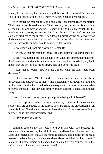already knew that they had betrayed The Rebellion, then he would've warned The Lord's space station. The element of surprise had likely been lost.

Even though he realized they still had at least an hour to reach the station The Lord used as his headquarters, 13 was tensed, ready to strike. Ready to end all the bullshit one way or another. Despite 44 being his only thought for the previous several hours, he banished him from his mind. If he didn't concentrate solely on eradicating the enemy, if he allowed himself any twinge of worry for the brave young man who'd risked and possibly already lost his life—then any sacrifice any of them made would have been for nothing.

He was knocked from his reverie by Raptor 10.

"Carter says that his readings indicate that the poison was administered."

13 scowled, pursing his lips. He had been under the impression that once they'd received the signal from the capsules that they had been deployed, that it meant that the poison had hit its target, that The Lord was dead.

"I don't get it. Wasn't that what he'd meant when he said it had been deployed?"

10 shook his head. "No. It could have meant that the capsules had been discovered and destroyed, or that 44 had accidentally bit down too hard and broken them. Or that he'd tried to bite the target and the capsules were unable to pierce the skin—that they had simply broken against its shell and drained away."

"Jesus. So what does he mean by the poison being administered?"

His friend appeared to be holding a smile at bay. "It means he's tracked the sensors that are embedded in the poison. They are inside the bloodstream of an alien life form. One that can no longer have the word 'life' attached to it any more. It looks like your boy succeeded."

*My boy. If he's still alive.*

\*\*\*\*

Thinking back on the first battle he'd ever had with The Scourge, 13 wondered if the course they had all followed could have been changed had they acted and reacted differently. If the minions that now stood beside them could have reached out then, would they have been able to end the conflict sooner? If his fellow human soldiers and leaders had taken a different course, would the suffering on both sides have been lessened?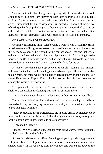Two of their ships had hung back, fighting with Commander 7's vessel, attempting to keep him from interfering with them boarding The Lord's space station. 13 pressed closer to the oval shaped window. It was only six inches across, just enough for him to view what lay immediately ahead of them. Two of the larger battle ships belonging to their compatriot minions flanked them on either side. 13 watched in fascination as the incinerator rays that had terrified humanity for the last twenty years were trained on The Lord's sanctuary.

#### *Not anymore, you dead motherfucker.*

Control was a strange thing. Whenever he'd worked with a submissive man, it had been one of his greatest assets. He stayed in control so that his sub had the freedom to soar. As he readied for the combat ahead—the one that would either save or destroy them all—his control prevented him from giving in to the horrors of battle. If he could find 44, and he was still alive, 13 would keep him. He wouldn't use any control when it came to his love for his boy.

A roar of excitement rose up between them all—humans and minions alike—when the hatch to the landing area was blown apart. They would be able to gain entry, but there would be no barrier between them and the openness of space. He turned to Raptor 10 to voice his worries, but his friend seemed to already be aware of his concerns.

"5 explained to me that once we're inside, the minions can reseal the outer shell. We can dock in the landing area and fan out from there."

"Do we have any word yet on the locations of their former minion allies?"

During the wait back on Earth, the second part of the attack plan had been worked out. They were relying heavily on the ability of their newfound partners to provide them with intel.

"They're tracking them. Fortunately, the landing area is completely clear now. Could mean a couple things. Either the fighters moved away to regroup, or the landing area is now unable to sustain any life."

13 groaned. "Perfect."

"Troops! We're less than sixty seconds from arrival, prepare your weapons and let's take this motherfucker!"

5's words had the desired effect of revving everyone up—shouts, grunts and fist pumps filled the ship as humans and minions alike readied to take out a shared enemy. 13 moved away from the window and pushed his away to the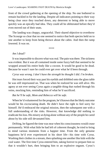front of the crowd gathering at the opening of the ship. No one bothered to remain buckled in for the landing. Despite all indicators pointing to their way being clear once they touched down, any deterrent to being able to move quickly was an epically bad idea. They could all be obliterated before they'd even moved out of their seats.

The landing was choppy, ungraceful. Their shared objective to overthrow The Scourge so clear that no one seemed to notice that both species held on to one another to keep from being thrown about the cabin. And then the ramp lowered. It was on.

\*\*\*\*

#### *Am I dead?*

It was impossible to discern what was real. The pain was there. The sickness was evident. But it was all contained inside some fuzzy ball that seemed to be wrapped around his entire body like a cocoon. It would be good to be dead. Because he wasn't sure he could ever get over what he'd been through.

#### *Cyrus was wrong. I don't have the strength he thought I did. I'm broken.*

Hot tears forced their way past his eyelids and dribbled onto the glass table he was still imprisoned on. That was when he realized he was still alive. His agony at not ever seeing Cyrus again a tangible thing that rushed through his veins, mocking him, reminding him of what he'd sacrificed.

#### *But he'll be safe, Mom and Rebecca will be safe.*

When he'd volunteered for the program, he'd known that the likely outcome would be his excruciating death. He didn't have the right to feel sorry for himself. He'd embraced the original mission, then the subsequent one with a full understanding of the risks. However, that knowledge did nothing to eradicate his loss. His misery at dying alone without any of the people he cared about by his side still devastated him.

Drifting, he figured the time was near when his consciousness would cease permanently. With what little he had left of coherent thought, he tried to bring to mind various moments from a happier time. From the only genuine happiness he'd ever experienced in his short life—his time with Cyrus. Washing their clothes in a stream, then splashing one another like kids with the cool water. The first time Cyrus entered him, taking forever to prepare him so that it wouldn't hurt, then bringing him to an explosive orgasm. Cyrus's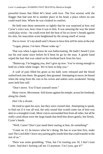powerful kisses that filled 44's heart with love. The first session with the flogger that had sent 44 to another place in his head, a place where no one could reach him. Where he was cloaked in comfort.

He held onto those memories so tightly that he was surprised at how real Cyrus's voice was, how close it was to him. It was amazing the way the mind could play tricks—he could even feel the heat of his ex-lover's breath against his skin, his masculine scent heightened by the strong smell of sweat.

*Not ex-lover. It's my death and I choose to have him still be mine at the end.*

"Logan, please, I'm here. Please wake up."

That was when Logan knew he was hallucinating. He hadn't heard Cyrus use his real name since before he'd been let go by the man. A gentle hand wiped the hair that was caked on his forehead back from his face.

"Buttercup, I'm begging you, don't give up now. You're strong enough to hold on a little while longer. We're here to help you."

A wall of pain filled his groin as his balls were released and the blood rushed back into them. He gasped, then groaned. Attempting to move, he hissed when the sting from the cuts in his wrists and ankles were awakened. Strong arms held him still.

"Don't move. You'll hurt yourself more."

More voices. Movement. Soft kisses against his temple, across his forehead, along his cheek.

#### *Don't be a dream.*

He tried to open his eyes, but they were crusted shut. Attempting to speak, to find out if it was all real, the only sound that would come out of him was akin to a strangled croak. More voices surrounded him from all sides, but all he really cared about were the large hands that held him down gently, but firmly. Cyrus's hands.

"Well, Carter? Don't just stand there staring at him, do something!"

"Come on 13, he knows what he's doing. He has to scan him first, make sure The Lord didn't leave any parting gifts inside him that could transfer to the rest of us."

There was some grumbling. "Fine, but I'm trusting you 10, I don't trust Carter. And don't fucking call me 13 anymore. I'm Cyrus, got it?"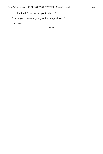10 chuckled. "Oh, we've got it, chief."

"Fuck you. I want my boy outta this pesthole."

*I'm alive.*

\*\*\*\*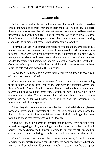#### **Chapter Eight**

<span id="page-48-0"></span>It had been a major cluster fuck once they'd stormed the ship, massive chaos as they'd aimed their weapons at their enemies. Their ability to discern the minions who were on their side from the ones that weren't had been next to impossible. But within minutes, it had all changed. As soon as it was clear to the minions on board the space station that their brothers were fighting alongside the humans, it became a brand new game altogether.

It turned out that The Scourge was really only made up of some creepy-ass white creatures that towered in size and in technological advances over the minions. Those who had been perceived as their enemies for so many years were just as enslaved and persecuted as the humans had been. Once they had banded together, it had been rather simple to tear it all down. The fact that the Commander's ship that included him and all his traitorous followers had been blown to bits had only added to the festivities.

#### *No wonder The Lord and his weird buddies stayed up here and away from all the action down on Earth.*

Once the enemies had been eliminated, Cyrus had endured a heart-stopping thirty minutes or so as he'd scoured the ship with the scientist Carter, and Raptor 5 and 10 searching for Logan. The unusual walls that sometimes resembled liquid gold and other times water, seemed to also block their scanning capabilities. The instrument that had been able to detect that the poison had been deployed hadn't been able to give the location of its whereabouts within the spacecraft.

When they'd at last entered the room that had contained the bloody, beaten form of his lover and the shriveled shell of The Lord, he'd almost collapsed to the floor in a combination of relief and dread. Relief that Logan had been found, and dread that they might've been too late.

Cradling Logan in his arms as they returned to Earth, Cyrus couldn't stop himself from gazing at him, marveling at how he'd survived in the face of such horror. How he'd succeeded. It meant nothing to him that the others eyed him curiously, no doubt wondering about his and the brave recruit's relationship.

Once Logan had been deemed clear of any contaminants, Carter had placed him under a medically-induced coma to allow his body the chance to heal and to save him from what would be days of intolerable pain. Then he'd wrapped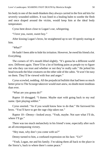his body in one of the medi-blankets they always carried in the first aid kits for severely wounded soldiers. It was lined in a healing balm to soothe the flesh and once draped around the victim, would keep him at the ideal body temperature.

Cyrus bent down close to Logan's ear, whispering.

"I love you, sweet, sweet boy."

After kissing Logan's brow, he straightened up to see 10 openly staring at him.

"*What*?"

He hadn't been able to hide his irritation. However, he owed his friend a lot. Everything.

The corners of 10's mouth lifted slightly. "It's gonna be a different world now. Different again. There'll be a lot of birthing pains as people try to figure out who they can trust and whether or not they're really safe." He jerked his head towards the blue creatures on the other side of the cabin. "It won't be easy on them. They'll be viewed with fear and anger."

Cyrus scowled, nodding. All the prejudicial bullshit that had been so much better prior to The Scourge takeover would start anew, no doubt more insidious than ever.

"What are you gonna do?"

Raptor 10 shrugged. "I dunno. Maybe start with going back to my real name. Quit playing soldier."

Cyrus snorted. "As if you would know how to do that." He furrowed his brow. "You'll have to get the rage chip taken out."

Raptor 10—Denny—looked away. "Yeah, maybe. Not sure what I'll do, where I'll go."

There was too much melancholy in his friend's tone, especially after such an all-encompassing victory.

"Hey man, why don't you come with us?"

Denny turned to him, a confused expression on his face. "Us?"

"Yeah, Logan, me and his family. I'm taking them all back to the place in the Sierra's, back to where there's some peace."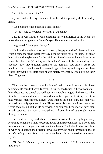"You think he wants that?"

Cyrus resisted the urge to snap at his friend. Or possibly do him bodily harm.

"We belong to each other, it's that simple."

"Awfully sure of yourself now aren't you, chief?"

Just as he was about to yell something nasty and hurtful at his friend, he noted the wicked gleam in Denny's eyes. He was messing with him.

He grunted. "Fuck you, Denny."

His friend's laughter was the first really happy sound he'd heard all day. With it came the sense that there was a genuine future for all of them. For all of humanity and maybe even for the minions. Someday soon, he would want to know the blue beings' history and how they'd come to be enslaved by The Scourge, how they'd fallen victim to the evil that had almost destroyed mankind. Until then, he would oversee Logan's healing and prepare the place where they would retreat to once he was better. Where they would live out their lives. Together.

\*\*\*\*

The days had been a combination of weird sensations and disjointed moments. He couldn't actually say he'd experienced much in the way of pain likely because his caretakers had kept him suitably drugged all the time. What little he remembered revolved around attempts to get him to sit up, to eat, to take various medications. Salves were rubbed into his skin, his hair was washed, his body sponged down. Those were his most precious memories. Cyrus had done all of that. He only wished he could've been more aware when it had happened. So much of everything had been filtered as though it were through a dream.

But he'd been up and about for over a week, his strength gradually returning. When he'd finally become aware of his surroundings, he'd noted that he was in a much larger compartment than the one The Rebellion had kept him in when he'd been in the program. It was Denny who had informed him that it was Cyrus's quarters. Which of course had led to his next question, where *was* Cyrus?

*"He had to take care of something on the outside. He'll be back in a few days or so."*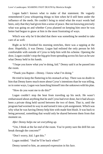Logan hadn't known what to make of that statement. He vaguely remembered Cyrus whispering things to him when he'd still been under the influence of the meds. He couldn't bring to mind what the exact words had been, only that they had given him a sense of peace. But not knowing precisely what was going on and whether Cyrus planned on keeping him once he was better had begun to gnaw at him in the most frustrating of ways.

Which was why he'd decided that there was something he needed to take care of as well.

Right as he'd finished his morning stretches, there was a tapping at the door. Hopefully, it was Denny. Logan had enlisted the only person he felt comfortable with outside of Cyrus to help him with his scheme. Opening the door, Logan couldn't stop the big grin from spreading across his face as he saw what Denny held in his hands.

"I hope you know what you're doing, kid." Denny said it as he passed into the room.

"Thank you Raptor—Denny. I know what I'm doing."

He tried to keep the fluttering in his stomach at bay. There was no doubt in him that Denny knew much more about Cyrus's intentions than he was telling, so in some ways, Logan was launching himself into the unknown with his plan.

"How do you want me to do this?"

Logan couldn't stop the heat from traveling up his neck. He wasn't embarrassed about anything that he and Cyrus had ever done, but it had always been a private thing held sacred between the two of them. That is, until the program had wormed its way in and turned it into a job assignment. Which was why what he was having Denny help him with made him blush. It was back to being personal, something that would only be shared between them from that moment on.

*After Denny helps me set everything up.*

"Um, I think at the far end of the room. You're pretty sure the drill bit can break through the concrete?"

"Don't worry, kid. I got this."

Logan nodded. "And he'll be back when?"

Denny turned to him, an annoyed expression in his face.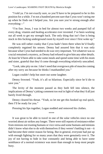"I told ya. I'm not exactly sure, so you'll have to be prepared to be in this position for a while. I'm not a hundred percent sure that Cyrus won't string me up when he finds out I helped you. Are you sure you're strong enough after everything—"

"I'm fine. Jesus, I was in bed for almost two weeks and pumped full of every drug, vitamin and healing accelerator ever invented. I've been working out all week to get my strength back. The only thing that isn't fine is being stuck in this fucking underground room by myself ever since I first woke up."

He was still rather cranky that Cyrus hadn't been there when he'd finally completely regained his senses. Denny had assured him that it was only because what Cyrus had needed to do was very important. Yet whatever was so crucial remained a mystery, as Denny had refused to give him any other details. At least he'd been able to take some meals and spend some time with his mom and sister, grateful that they'd come through everything relatively unscathed.

"Look, take pity on me. I don't need that overgrown pile of muscles coming after my sorry ass because he thinks I manhandled you."

Logan couldn't help but snort out some laughter.

Denny frowned. "Yeah, it's all so hilarious. Especially since he'd die to save you."

The levity of the moment passed as they both fell into silence, the implications of Denny's joking comment too real in light of what they'd all just barely lived through.

Denny cleared his throat. "Yeah, so let me get this hooked up real quick, then I'll be ready for you."

Pressing his lips together, Logan nodded and removed his clothes.

\*\*\*\*

It was great to be able to travel in one of the solar vehicles since no one worried about air strikes any longer. There were still reports of resistance either from minions not trusting humans or vice-versa and some humans and minions didn't know what else to do with themselves if they weren't battling it out—it had become their entire reason for being. But in general, everyone had put up with enough fighting for so many years that they were genuinely over it. The joy of not having to hide in fear constantly and being able to have some semblance of a normal existence was more than enough to keep most people busy.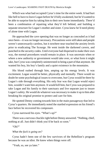Which was what had occupied Cyrus's time for the entire week. It had hurt like hell to have to leave Logan before he'd fully awakened, but he'd wanted to be able to surprise him by taking him to their new home immediately. There'd been a combination of repairing what they'd left behind, and building a separate structure for Logan's mother and sister. Cyrus knew he'd need plenty of alone time with Logan.

He approached the cave opening that was no longer as concealed as it had once been—it was no longer necessary. Precautions were still taken and people weren't unnecessarily careless, but it nowhere near touched the anxiety levels prior to eradicating The Scourge. He went inside the darkened cavern, and punched in the security codes. Until everyone had dispersed to make their own way, the normal procedures would remain in place. It was uncertain when or where a new authority or government would take over, or what form it might take, but Cyrus was completely uninterested in being a part of that anymore. He wanted his boy, his boy's family and a quiet existence in the mountains.

His blood rushed through him, amping up his energy levels. It was excitement. Logan would be better, physically and mentally. There would no doubt be some psychological issues to overcome, but Cyrus would be there by Logan's side through everything. His only fear was that Logan would reject him, wouldn't want him anymore. It would kill him, but Cyrus was prepared to take Logan and his family to their sanctuary and live separate just to insure Logan's safety. He would do whatever was necessary to make it up to him after breaking his original promise to protect and care for him.

He spotted Denny coming towards him in the main passageway that led to Cyrus's quarters. He immediately noted the startled expression on his friend's face before he recovered his composure.

Cyrus narrowed his eyes. "What's up?"

There was a nervous chuckle right before Denny answered. "Nothing, chief, nothing at all. Just didn't think you'd be back so soon."

" $Oh$ ?"

#### *What the fuck is going on?*

Cyrus hadn't been one of the few survivors of the Rebellion's program because he was an idiot. He knew when things were off.

"Yeah, so, see ya later."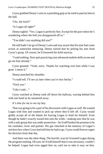Cyrus grabbed Denny's arm in a punishing grip as he tried to pass by him in the hall.

"Ow, the fuck?"

"Is Logan all right?"

Denny sighed. "Yes. Logan is perfectly fine. Except for the part where he's wondering where the hell you disappeared off to."

"You didn't say anything did you?"

He still hadn't let go of Denny's arm and was aware that his tone had come across as somewhat menacing. Denny solved that by jerking his arm from Cyrus's grasp. Of course, he'd loosened his hold anyway.

"I said nothing. Now quit practicing your advanced asshole skills on me and go see him already."

Cyrus grunted. "Yeah, sorry. Thanks for watching over him while I was gone. I mean it."

Denny punched his shoulder.

"I could tell. I'll see ya later when you're less bitchy."

"Fuck you."

"Like I said…"

Cyrus watched as Denny took off down the hallway, waving behind him with one hand as he sauntered away.

*It's time for me to see my boy.*

That was going to be a part of his discussion with Logan as well. He wanted Logan with him and wanted to pick up where they'd left off. Cyrus would gladly accept all of the blame for leaving Logan to fend for himself. Even though he hadn't exactly tossed him into the wilds—making sure that he was with a safe group that was under protection—he'd still broken his promise to be his caretaker, lover and partner. His gut clenched at the memory of Logan's stricken face when Cyrus had told him he had to go. Cyrus would forever regret his decision from that day.

And there was the other thing. The horrific way he'd treated Logan during the program training. Oh sure, he'd told himself that it was necessary, couldn't be helped. Logan had even egged him on, said not to take it easy on him.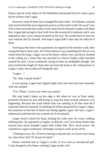Denny and all of the others of The Rebellion had praised him for what a great job he'd done with Logan.

However, none of those facts changed the basic truth—he'd beaten, tortured and mind-fucked the most important person to him in the world. He wasn't sure if he could overcome that reality in his mind, but he refused to make it all about him. Logan had enough to deal with from the trauma he'd endured, and it was imperative that Cyrus remain focused on his boy. He would have to face his own internal shit by himself. And hope Logan didn't hate him for what he'd done.

Arriving at the door to his apartment, he tapped in the entrance code, then swung the heavy door open. He'd been about to say something but the air was stolen from his lungs. Logan was on his knees, naked, eyes cast down, hooked to the ceiling by a chain that was attached to a heavy leather collar buckled around his neck. Cyrus swallowed, trying to form an intelligible thought. His eyes tracked the length of chain that ran from the hook in the ceiling down to Logan's neck, then trailed off alongside him.

"Logan…"

"Sir. May I speak freely?"

It was jarring. Logan had slipped right back into their previous dynamic with one another.

"Yes. Please. Look at me when you speak."

His tone hadn't taken on the edge it did when he was in Dom mode, primarily because he was still trying to wrap his brain around whatever was happening. Because the scene before him was nothing at all like what he'd expected when he returned. If anything, he'd been prepared for Logan's anger, his resistance to the idea of them ever being together again. His hurt. Logan's submission had been the last scenario he'd envisioned.

Logan slowly raised his head, locking his wide eyes on Cyrus, holding nothing back. He appeared so fragile, so delicate, yet Cyrus knew better than anyone how much strength Logan held within him. How much power. He watched as Logan swallowed, seemingly trying to work up his nerve.

"I belong to you, Sir. I'll never belong to anyone else, so if you won't keep me, then know that I'll always be alone."

Shock overtook him at Logan's words. It was such an unexpected gift. Cyrus dropped to his knees, making Logan startle a bit.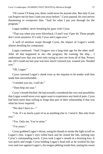"Of course I'll keep you, there could never be anyone else. But only if you can forgive me for how I sent you away before." Cyrus paused, his own nerves threatening to overpower him. "And for what I put you through for the program."

Logan nodded, never breaking his gaze with Cyrus.

"That was when you were Silverback 13 and I was Viper 44. Those people don't exist anymore. It's only Cyrus and Logan now."

A well of emotion swept through Cyrus, the impact of Logan's words almost derailing his composure.

Logan continued. "And I forgave you a long time ago for the other stuff. After all that happened to me—the program, the training, the ship… I understand now that you were only trying to save me from all of that. Protect me. All I could see last year was how much I missed you, wanted you. Needed you."

"Oh, Logan."

Cyrus caressed Logan's cheek even as the impulse to be tender with him made him uncomfortable.

"I needed you too. I still do."

"Then help me soar."

Cyrus's breath hitched. He had actually considered the very real possibility that Logan would never ever again want to experience any kind of pain. Cyrus had been more than willing to forgo that part of their relationship if that was what his lover required.

"We don't have to—"

"I do. It's as much a part of us as anything else is. I *need* it. But only from you."

"Yes. Only me. You're mine."

"I'm yours."

Cyrus grabbed Logan's throat, using his thumb to stroke the light scruff on Logan's chin. Logan's eyes rolled back and he closed the lids, melting into Cyrus's commanding touch. Cyrus took Logan's mouth in a bruising kiss. It was quick and rough, Cyrus holding Logan's head still as he worked his lips over and over against Logan's, his tongue jabbing inside him, tasting his sweet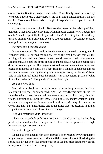essence for the first time in over a year. When Cyrus finally broke the kiss, they were both out of breath, their chests rising and falling almost in time with one another. Cyrus's cock twitched at the sight of Logan's swollen lips, still moist, so enticing.

Cyrus rose, anxious to begin. Because they were in the privacy of their quarters, Cyrus didn't have anything with him other than his own flogger, the one he'd made especially for Logan when they'd been together. It suddenly dawned on him why Denny had acted so strange earlier—Logan never could have put the chain in place on his own.

#### *Not sure how I feel about that.*

It was a tough call. He couldn't decide whether to be territorial or grateful. Probably both. He opened the top drawer of the small dresser that all the leading soldiers had been issued when they'd received their compartment assignments. He noted the bottle of lube and the dildo. He wouldn't need a fake dick for Logan anymore. The flogger next to the other items in the drawer had been a sentimental object that he'd kept from their old life. It had been almost too painful to use it during the program training sessions, but he hadn't been able to help himself. It had been his sneaky way of recapturing some of what they'd had. What he'd thought they'd never have again.

#### *And now here he is.*

He had to get back in control in order to be in the present for his boy. Snapping the flogger, he approached Logan, then stood before him with his feet shoulder width apart. Logan had one knee drawn up to his chest, his arms wrapped around it, his head lowered. Cyrus hesitated, unsure whether Logan was actually prepared to follow through with any pain play. It occurred to Cyrus that they hadn't mentioned one of the things that was essential in giving Logan the necessary control over their exchange.

"Do you remember your safeword?"

There was an audible sigh from Logan as he eased back into his kneeling position, his shoulders back, his gaze on the floor. It even appeared as though he were trying to conceal a smile.

"Yes, Sir. Poppies."

Logan had explained to him soon after he'd been rescued by Cyrus that the bright orange flowers growing wild in the fields below the foothills during the spring had always been like a balm to his soul. An indicator that there was still beauty to be found in life, to not give up.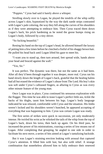"Poppies." Cyrus had said it barely above a whisper.

Strolling slowly over to Logan, he played the tendrils of the whip softly across Logan's skin, hypnotized by the way the dark suede strips contrasted with Logan's pale coloring, the way they fell along the curves of his shoulders as if they were attempting to embrace him. Then Cyrus traced them down Logan's back, his prick hardening as he noted the goose bumps rising on Logan's body, followed by a tiny shiver.

"So fucking beautiful."

Resting his hand on the top of Logan's head, he allowed himself the luxury of petting him a few times before he clutched a fistful of his shaggy brown hair. He pulled his head back until Logan lifted his gaze to meet his.

"I want you to stand up, then turn around, feet spread wide, hands above your head and braced against the wall."

"Yes, Sir."

It was perfect. The dynamic was there, but not the same as it had been. After all they'd been through together it was deeper, more real. Cyrus ran his hand slowly down the length of Logan's back, grateful that the healing balms had all but erased the evidence of Logan's abuse from The Lord. His boy's skin was soft under Cyrus's calloused fingers, as alluring to Cyrus as was every other minute feature of the young man.

Once Logan was in place, Cyrus continued his sensuous exploration with the flogger. This time he was able to tease Logan's perfect little ass, tickle the backs of his thighs, taunt him between his legs. Logan's body language indicated he was relaxed, comfortable with Cyrus and the situation. His limbs weren't locked and his shoulders weren't bunched, he appeared accepting of everything that was happening to him. Cyrus was certain Logan was ready.

The first series of strikes were quick in succession, yet only moderately intense. He twirled his wrist as he whisked the tails of the whip from the top of Logan's back, down his torso, then back up again. On his third pass, he increased the power of his ministrations, coaxing a series of low moans out of Logan. After completing that grouping, he angled to one side in order to facilitate his next move, a series of hits aimed at Logan's tantalizing backside.

But it was Logan's straining erection leaking with arousal that captured Cyrus's attention. It filled him with lust, but also with relief. A strange combination that nonetheless allowed him to fully embrace their renewed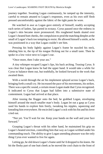journey together. Swatting Logan continuously, he ramped up the intensity, careful to remain attuned to Logan's responses, even as his own stiff flesh pressed uncomfortably against the fabric of the tight pants he wore.

He watched in awe as Logan gave entirely of himself, readily accepting each series of lashes, lips parted in ecstasy. Cyrus paused once the redness in Logan's skin became more pronounced. His roughened hands skated over Logan's heated butt cheeks, the compulsion to prod the matching dimples at the small of Logan's back too tempting to resist. He allowed himself a smile, as he was positioned in a way that Logan couldn't see him.

Pressing his body lightly against Logan's frame he nuzzled his neck, inhaling him in, the tip of his tongue flicking out for a small taste. Then he spoke in a low voice next to Logan's ear.

"Once more, then I take your ass."

A tiny whimper escaped Logan's lips, his back arching. Teasing Cyrus. It was clear that Logan knew he had the upper hand. It would take a while for Cyrus to balance them out, but truthfully, he looked forward to the work that awaited them.

With a swish through the air his implement splayed across Logan's back, bringing forth a small cry. He increased the pace of his movements, his strikes. There was a specific sound, a certain moan Logan made that Cyrus recognized. It indicated to Cyrus that Logan had fallen into a submissive state of contentment. Logan had arrived at that place.

After tossing the flogger onto the bed, he grabbed Logan, enveloping himself around the much smaller man's body. Logan let out a gasp as Cyrus used his hands to explore him freely, tweaking his nipples, squeezing and kneading him everywhere. He encircled Logan's cock with his fist and his lover cried out.

"Not yet. You'll wait for me. Keep your hands on the wall and your face forward."

Grasping Logan's throat with his other hand, he maintained his grip on Logan's heated erection, controlling him that way as Logan writhed under his commanding touch. The ability to give Logan unending pleasure was the only thing Cyrus ever wanted to live for again.

Letting go, he slid down Logan's frame until he'd dropped to his knees. He bit the fleshy part of one butt cheek as he moved the cool chain to the front of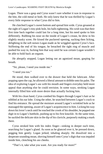Logan. There was a gasp and Cyrus wasn't sure whether it was in response to the bite, the cold metal or both. He only knew that he was thrilled by Logan's every little response to what Cyrus did to him.

He clutched Logan's sweet bottom and spread him wide. Cyrus groaned at the sight of Logan's tiny pink hole, his balls tightening. His wish was that their first time back together could last for a long time, but his need spoke to him differently. Rubbing his nose on the inside of Logan's crease, he drew in his slightly musky scent. He kissed the puckered opening, sucking then licking, delighting in the soft noises Logan made as he wriggled against Cyrus's face. Stiffening the end of his tongue, he breached the tight ring of muscle and pushed his way in, fucking him that way until he was certain Logan wouldn't be able to hold back an orgasm.

He abruptly stopped, Logan letting out an agonized moan, gasping for breath.

"Sir, please, I need you inside me."

"I need you too."

He stood, then walked over to the drawer that held the lubricant. After popping open the cap, he allowed a liberal amount to dribble onto his palm. The idea of exploring Logan's ass with his mouth and fingers everyday held more appeal than anything else he could envision. In some ways, stroking Logan internally filled him with more desire than actually fucking him.

With his clean hand, Cyrus combed his fingers through Logan's hair as he nibbled at his ear lobe. Using the other, he searched between Logan's crack to find his entrance. He spread the moisture around Logan's wrinkled hole as he massaged the opening, aware of Logan's acquiescence to him. Licking his way down his lover's neck until he reached the crook of his shoulder, he popped one digit in to Logan's butthole, pushing up to his first knuckle. At the same time, he suckled the delicate skin in the dip of his clavicle, purposely making a mark there.

Cyrus stroked him with his index finger—sinking in deeper each time, searching for Logan's gland. As soon as he glanced over it, he pressed down, pegging him gently. Logan jerked, inhaling sharply. He dissolved into a desperate sounding moan, shoving himself onto Cyrus's digit that was impaled inside him, clenching his ass cheeks.

"That's it, take what you want. Are you ready for more?"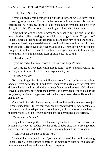"Unh, please, Sir, please…"

Cyrus slipped his middle finger in next to the other and twisted them within Logan's greedy channel. Picking up the pace as he finger fucked his boy, his cock leaked, balls aching, the need to be inside Logan stronger than he'd ever thought possible. But he wanted to see Logan's face when they came.

After pulling out of Logan's passage, he reached for the buckle on the heavy leather collar, yanking at the thick strap to get it open. To get it off Logan's neck so that he could embrace him and take him to bed. As soon as Logan was freed, he gathered the small man into his arms and carried him over to the mattress. He shoved the flogger aside and lay him down. Cyrus tried to straighten in order to remove his clothes, but Logan held fast to him as if he were afraid to let him go, silent tears spilling onto his cheeks.

"Shh, don't cry."

Cyrus swiped at the small drops of moisture on Logan's face.

"We're together now. Everything else is done. Viper 44 and Silverback 13 no longer exist, remember? It's only Logan and Cyrus."

"Y-yes. Yes, Sir."

Relaxing, Logan let his arms fall away from Cyrus, but he stared at him openly. Cyrus permitted it. It had never occurred to Cyrus to view what they did together as anything other than a magnificent sexual release. He'd always craved Logan physically more than anyone he'd ever been with in his almost forty years, but he no longer saw their fucking as a mere release. He saw it as making love.

Once he'd discarded his garments, he allowed himself a moment to enjoy Logan's nude form. Still too thin owing to his recent ordeal, he was nonetheless stunning. Long limbed, perfectly formed torso, with an innocent male beauty that imprinted itself on Cyrus's consciousness, demanded his reverence.

"Open yourself to me."

Logan lifted his legs, then held them up by the backs of his knees. Without looking away, Cyrus reached for the bottle of lube once more. He squeezed some onto his hand and rubbed his shaft, slicking himself up thoroughly.

"Hold your sac up and out of the way."

Logan did as he was told and Cyrus poured more of the cool liquid along Logan's crack. Logan jumped slightly as the moisture trickled down his crease, his asshole clenching and unclenching in response.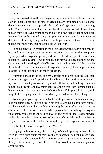#### *Fuck.*

Cyrus lowered himself over Logan, using a hand to brace himself on one side of Logan's head and the other to grasp his own throbbing prick. He gazed down between them as he prodded his cockhead against Logan's twitching hole. Cyrus wanted in so bad, but he also didn't want to rush things. Even though they'd enjoyed hours of rough play and raw fucks when they'd been together before, he needed to try and physically express to Logan what he didn't have the ability to say out loud. That Logan was all that mattered to him, that he cherished him, that he would die without him.

Rubbing his swollen erection in the slickness between Logan's butt cheeks, he could tell that Logan was becoming impatient, anxious for their coupling. Cyrus paused at Logan's opening and pressed his dick against the resistant muscle of Logan's asshole. As he eased himself forward, Logan pushed out and Cyrus watched as the large knob of his cock was swallowed up. With a gasp, he threw his head back, the slick heat of Logan's channel tightly wrapped around his stiff flesh bordering on too much sensation.

Without a thought, he instinctively thrust balls deep, pulling out, then slamming in again. He dropped onto his elbows so he could capture Logan's lips with his own. Cyrus kissed Logan with all that he had, licking inside his mouth, suckling his tongue, scraping teeth along his chin, then latching onto his lips once more. At the same time, he buried himself deep inside Logan, each long stroke bringing them closer to what Cyrus had missed for so long.

Sweating and grunting, the speed of his rutting increased, his nuts smacking loudly against Logan. The tingling in his spine signaled his imminent release and he wanted Logan there with him. Placing the brunt of his weight on one elbow, he reached between them with his opposite hand, searching out Logan's rigid shaft, ready for them both to fly. He encircled it, and Logan mewled against his mouth, a pleading sort of a sound. Cyrus felt the first pulses in Logan's ass and knew the sticky heat would erupt from Logan at any moment.

He broke the kiss but stayed close. "Yes…"

Logan yelled as warmth gushed over Cyrus's hand, spurting between them. Even as Cyrus cried out in the throes of his own orgasm, he kept his eyes fixed on Logan. Watching every little expression cross Logan's face as he worked through his ecstasy, Cyrus was lost to his boy. Would never want anyone or anything else.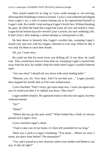They stayed joined for as long as Cyrus could manage it, not moving, allowing their breathing to return to normal. Cyrus's cock softened and slipped from Logan's ass, a trail of semen leaking out as he repositioned himself at Logan's side. He couldn't stop staring at Logan's lovely face. Without breaking his gaze, he lifted the hand that Logan had come all over and licked it clean. Logan bit his bottom lip as he viewed Cyrus's actions, his eyes widening a bit. It had Cyrus's dick making a valiant attempt at coming back to life.

He bent down to leisurely kiss Logan's swollen lips, sweeping Logan's mouth over and over with his tongue, reluctant to ever stop. When he did, it was only for them to catch their breath.

*Oh, yes. I want more.*

He could see that his sweet lover was drifting off. It was okay, he could wait. They would have forever from then on. Sweeping Logan's tousled hair away from his face, he couldn't help but smile when Logan's eyelids fluttered open.

"Are you okay? I should rub you down with some healing balm."

"Mmmm, yes, Sir. Very okay. And I'm not that sore…" Logan yawned, then snapped his mouth shut as if he were embarrassed.

Cyrus chuckled. "Don't worry, get some sleep now. I want you again once you've rested *and* after I've rubbed you down. That clear?"

Logan nodded sleepily. He appeared ready to shut his eyes again, but they widened instead.

"Sir?"

"Hmm?"

"Where did you go this past week?" What looked like a flash of concern passed over Logan's face.

Cyrus caressed Logan's cheek.

"I had to take care of our home, it's been left untended for too long."

There was a catch in Logan's breathing. "You mean… Where we were, I mean, our place from before? The mountains?"

"Yes, and I started on a new structure where your mother and Rebecca can stay. Is that all right?"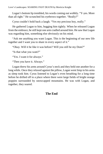Logan's bottom lip trembled, his words coming out wobbly. "Y-yes. More than all right." He scrunched his eyebrows together. "Really?"

Cyrus couldn't hold back a laugh. "Yes my precious boy, really."

He gathered Logan to him, hugging him tightly. When he released Logan from the embrace, he still kept one arm cradled around him. He saw that Logan was regarding him, something else obviously on his mind.

"Ask me anything you want Logan. This is the beginning of our new life together and I want you to share in every aspect of it."

"Okay. Will it be like it was before? Will you still be my Dom?"

"Is that what you want?"

"Yes. I want it for always."

"Then you have it. Always."

Logan threw his arms around Cyrus's neck and they held one another for a long while. Once they relaxed against the pillow, Logan went limp in his arms as sleep took him. Cyrus listened to Logan's even breathing for a long time before he drifted off to a place where there were large fields of bright orange poppies surrounded by snowcapped mountains. He was with Logan, and together, they soared.

#### **The End**